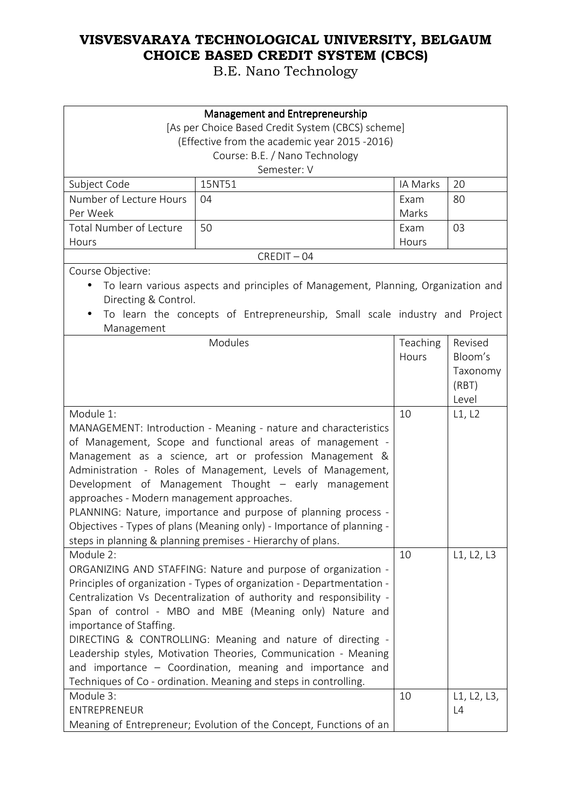| Management and Entrepreneurship                         |                                                                                                                                                                                                                                                                                                                                                                                                                                                                                                                                              |                   |                                                  |
|---------------------------------------------------------|----------------------------------------------------------------------------------------------------------------------------------------------------------------------------------------------------------------------------------------------------------------------------------------------------------------------------------------------------------------------------------------------------------------------------------------------------------------------------------------------------------------------------------------------|-------------------|--------------------------------------------------|
|                                                         | [As per Choice Based Credit System (CBCS) scheme]                                                                                                                                                                                                                                                                                                                                                                                                                                                                                            |                   |                                                  |
|                                                         | (Effective from the academic year 2015 -2016)                                                                                                                                                                                                                                                                                                                                                                                                                                                                                                |                   |                                                  |
|                                                         | Course: B.E. / Nano Technology                                                                                                                                                                                                                                                                                                                                                                                                                                                                                                               |                   |                                                  |
|                                                         | Semester: V                                                                                                                                                                                                                                                                                                                                                                                                                                                                                                                                  |                   |                                                  |
| Subject Code                                            | 15NT51                                                                                                                                                                                                                                                                                                                                                                                                                                                                                                                                       | IA Marks          | 20                                               |
| Number of Lecture Hours                                 | 04                                                                                                                                                                                                                                                                                                                                                                                                                                                                                                                                           | Exam              | 80                                               |
| Per Week                                                |                                                                                                                                                                                                                                                                                                                                                                                                                                                                                                                                              | Marks             |                                                  |
| <b>Total Number of Lecture</b>                          | 50                                                                                                                                                                                                                                                                                                                                                                                                                                                                                                                                           | Exam              | 03                                               |
| Hours                                                   |                                                                                                                                                                                                                                                                                                                                                                                                                                                                                                                                              | Hours             |                                                  |
|                                                         | $CREDIT - 04$                                                                                                                                                                                                                                                                                                                                                                                                                                                                                                                                |                   |                                                  |
| Course Objective:                                       |                                                                                                                                                                                                                                                                                                                                                                                                                                                                                                                                              |                   |                                                  |
| Directing & Control.                                    | To learn various aspects and principles of Management, Planning, Organization and                                                                                                                                                                                                                                                                                                                                                                                                                                                            |                   |                                                  |
| Management                                              | To learn the concepts of Entrepreneurship, Small scale industry and Project                                                                                                                                                                                                                                                                                                                                                                                                                                                                  |                   |                                                  |
|                                                         | Modules                                                                                                                                                                                                                                                                                                                                                                                                                                                                                                                                      | Teaching<br>Hours | Revised<br>Bloom's<br>Taxonomy<br>(RBT)<br>Level |
| Module 1:<br>approaches - Modern management approaches. | MANAGEMENT: Introduction - Meaning - nature and characteristics<br>of Management, Scope and functional areas of management -<br>Management as a science, art or profession Management &<br>Administration - Roles of Management, Levels of Management,<br>Development of Management Thought - early management<br>PLANNING: Nature, importance and purpose of planning process -<br>Objectives - Types of plans (Meaning only) - Importance of planning -<br>steps in planning & planning premises - Hierarchy of plans.                     | 10                | L1, L2                                           |
| Module 2:<br>importance of Staffing.<br>Module 3:       | ORGANIZING AND STAFFING: Nature and purpose of organization -<br>Principles of organization - Types of organization - Departmentation -<br>Centralization Vs Decentralization of authority and responsibility -<br>Span of control - MBO and MBE (Meaning only) Nature and<br>DIRECTING & CONTROLLING: Meaning and nature of directing -<br>Leadership styles, Motivation Theories, Communication - Meaning<br>and importance - Coordination, meaning and importance and<br>Techniques of Co - ordination. Meaning and steps in controlling. | 10<br>10          | L1, L2, L3<br>L1, L2, L3,                        |
| ENTREPRENEUR                                            | Meaning of Entrepreneur; Evolution of the Concept, Functions of an                                                                                                                                                                                                                                                                                                                                                                                                                                                                           |                   | L4                                               |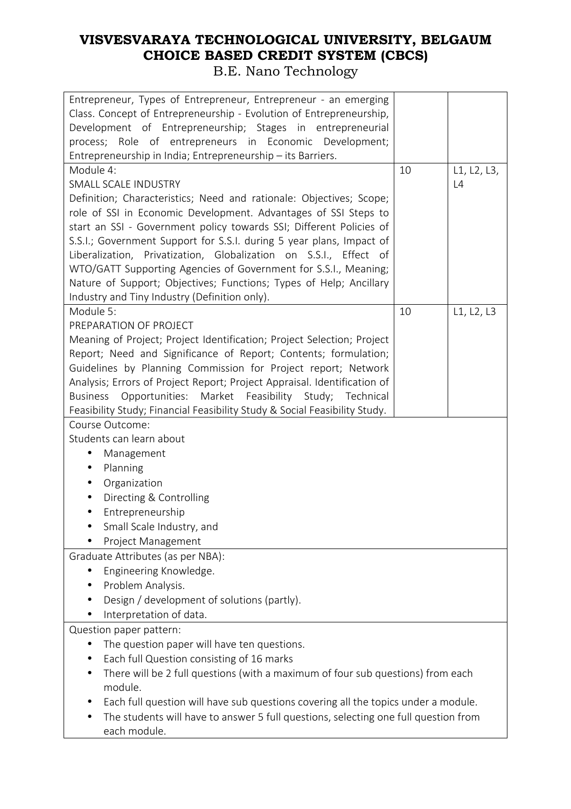#### **VISVESVARAYA TECHNOLOGICAL UNIVERSITY, BELGAUM CHOICE BASED CREDIT SYSTEM (CBCS)**  B.E. Nano Technology

| Entrepreneur, Types of Entrepreneur, Entrepreneur - an emerging<br>Class. Concept of Entrepreneurship - Evolution of Entrepreneurship,<br>Development of Entrepreneurship; Stages in entrepreneurial<br>process; Role of entrepreneurs in Economic Development;<br>Entrepreneurship in India; Entrepreneurship - its Barriers. |                                                                                 |             |  |
|--------------------------------------------------------------------------------------------------------------------------------------------------------------------------------------------------------------------------------------------------------------------------------------------------------------------------------|---------------------------------------------------------------------------------|-------------|--|
| Module 4:                                                                                                                                                                                                                                                                                                                      | 10                                                                              | L1, L2, L3, |  |
| <b>SMALL SCALE INDUSTRY</b>                                                                                                                                                                                                                                                                                                    |                                                                                 | L4          |  |
|                                                                                                                                                                                                                                                                                                                                |                                                                                 |             |  |
| Definition; Characteristics; Need and rationale: Objectives; Scope;                                                                                                                                                                                                                                                            |                                                                                 |             |  |
| role of SSI in Economic Development. Advantages of SSI Steps to                                                                                                                                                                                                                                                                |                                                                                 |             |  |
| start an SSI - Government policy towards SSI; Different Policies of                                                                                                                                                                                                                                                            |                                                                                 |             |  |
| S.S.I.; Government Support for S.S.I. during 5 year plans, Impact of                                                                                                                                                                                                                                                           |                                                                                 |             |  |
| Liberalization, Privatization, Globalization on S.S.I., Effect of                                                                                                                                                                                                                                                              |                                                                                 |             |  |
| WTO/GATT Supporting Agencies of Government for S.S.I., Meaning;                                                                                                                                                                                                                                                                |                                                                                 |             |  |
| Nature of Support; Objectives; Functions; Types of Help; Ancillary                                                                                                                                                                                                                                                             |                                                                                 |             |  |
| Industry and Tiny Industry (Definition only).                                                                                                                                                                                                                                                                                  |                                                                                 |             |  |
| Module 5:                                                                                                                                                                                                                                                                                                                      | 10                                                                              | L1, L2, L3  |  |
| PREPARATION OF PROJECT                                                                                                                                                                                                                                                                                                         |                                                                                 |             |  |
| Meaning of Project; Project Identification; Project Selection; Project                                                                                                                                                                                                                                                         |                                                                                 |             |  |
| Report; Need and Significance of Report; Contents; formulation;                                                                                                                                                                                                                                                                |                                                                                 |             |  |
| Guidelines by Planning Commission for Project report; Network                                                                                                                                                                                                                                                                  |                                                                                 |             |  |
| Analysis; Errors of Project Report; Project Appraisal. Identification of                                                                                                                                                                                                                                                       |                                                                                 |             |  |
| Business Opportunities: Market Feasibility Study; Technical                                                                                                                                                                                                                                                                    |                                                                                 |             |  |
| Feasibility Study; Financial Feasibility Study & Social Feasibility Study.                                                                                                                                                                                                                                                     |                                                                                 |             |  |
| Course Outcome:                                                                                                                                                                                                                                                                                                                |                                                                                 |             |  |
| Students can learn about                                                                                                                                                                                                                                                                                                       |                                                                                 |             |  |
| Management<br>$\bullet$                                                                                                                                                                                                                                                                                                        |                                                                                 |             |  |
| Planning<br>$\bullet$                                                                                                                                                                                                                                                                                                          |                                                                                 |             |  |
| Organization<br>$\bullet$                                                                                                                                                                                                                                                                                                      |                                                                                 |             |  |
|                                                                                                                                                                                                                                                                                                                                |                                                                                 |             |  |
| Directing & Controlling                                                                                                                                                                                                                                                                                                        |                                                                                 |             |  |
| Entrepreneurship                                                                                                                                                                                                                                                                                                               |                                                                                 |             |  |
| Small Scale Industry, and                                                                                                                                                                                                                                                                                                      |                                                                                 |             |  |
| Project Management                                                                                                                                                                                                                                                                                                             |                                                                                 |             |  |
| Graduate Attributes (as per NBA):                                                                                                                                                                                                                                                                                              |                                                                                 |             |  |
| Engineering Knowledge.                                                                                                                                                                                                                                                                                                         |                                                                                 |             |  |
| Problem Analysis.<br>$\bullet$                                                                                                                                                                                                                                                                                                 |                                                                                 |             |  |
| Design / development of solutions (partly).                                                                                                                                                                                                                                                                                    |                                                                                 |             |  |
| Interpretation of data.                                                                                                                                                                                                                                                                                                        |                                                                                 |             |  |
| Question paper pattern:                                                                                                                                                                                                                                                                                                        |                                                                                 |             |  |
| The question paper will have ten questions.                                                                                                                                                                                                                                                                                    |                                                                                 |             |  |
| Each full Question consisting of 16 marks                                                                                                                                                                                                                                                                                      |                                                                                 |             |  |
|                                                                                                                                                                                                                                                                                                                                | There will be 2 full questions (with a maximum of four sub questions) from each |             |  |
| module.                                                                                                                                                                                                                                                                                                                        |                                                                                 |             |  |
| Each full question will have sub questions covering all the topics under a module.                                                                                                                                                                                                                                             |                                                                                 |             |  |
| The students will have to answer 5 full questions, selecting one full question from                                                                                                                                                                                                                                            |                                                                                 |             |  |
| each module.                                                                                                                                                                                                                                                                                                                   |                                                                                 |             |  |
|                                                                                                                                                                                                                                                                                                                                |                                                                                 |             |  |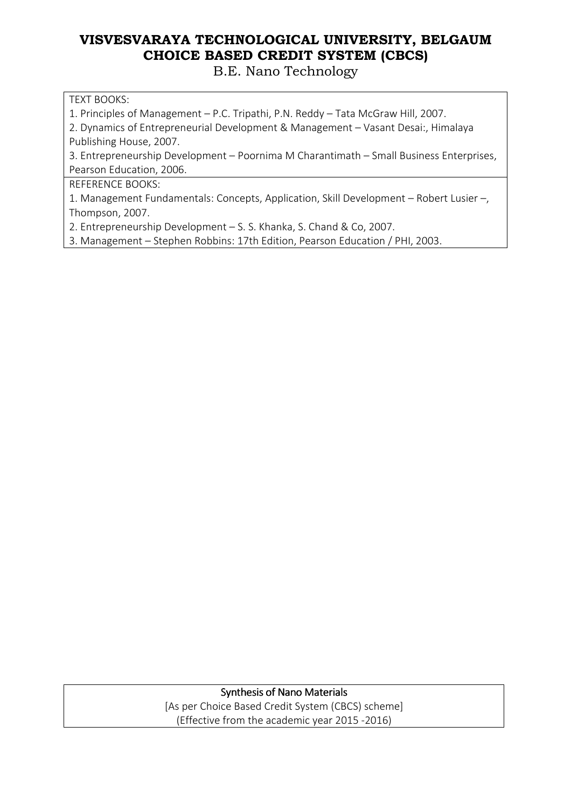B.E. Nano Technology

#### TEXT BOOKS:

1. Principles of Management – P.C. Tripathi, P.N. Reddy – Tata McGraw Hill, 2007.

2. Dynamics of Entrepreneurial Development & Management – Vasant Desai:, Himalaya Publishing House, 2007.

3. Entrepreneurship Development – Poornima M Charantimath – Small Business Enterprises, Pearson Education, 2006.

REFERENCE BOOKS:

1. Management Fundamentals: Concepts, Application, Skill Development – Robert Lusier –, Thompson, 2007.

2. Entrepreneurship Development – S. S. Khanka, S. Chand & Co, 2007.

3. Management – Stephen Robbins: 17th Edition, Pearson Education / PHI, 2003.

Synthesis of Nano Materials [As per Choice Based Credit System (CBCS) scheme] (Effective from the academic year 2015 -2016)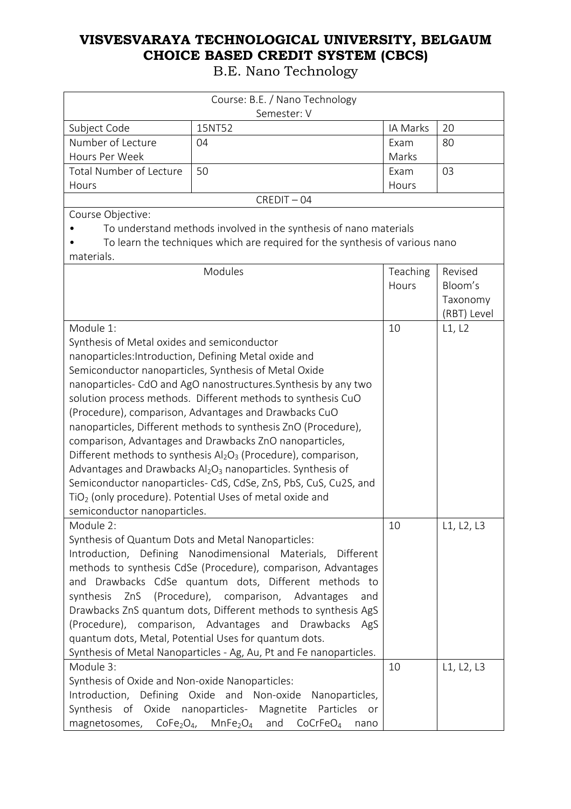|                                                                | Course: B.E. / Nano Technology                                                           |          |             |
|----------------------------------------------------------------|------------------------------------------------------------------------------------------|----------|-------------|
|                                                                | Semester: V                                                                              |          |             |
| Subject Code                                                   | 15NT52                                                                                   | IA Marks | 20          |
| Number of Lecture                                              | 04                                                                                       | Exam     | 80          |
| Hours Per Week                                                 |                                                                                          | Marks    |             |
| Total Number of Lecture                                        | 50                                                                                       | Exam     | 03          |
| Hours                                                          |                                                                                          | Hours    |             |
|                                                                | $CREDIT - 04$                                                                            |          |             |
| Course Objective:                                              |                                                                                          |          |             |
|                                                                | To understand methods involved in the synthesis of nano materials                        |          |             |
|                                                                | To learn the techniques which are required for the synthesis of various nano             |          |             |
| materials.                                                     |                                                                                          |          |             |
|                                                                | Modules                                                                                  | Teaching | Revised     |
|                                                                |                                                                                          | Hours    | Bloom's     |
|                                                                |                                                                                          |          | Taxonomy    |
|                                                                |                                                                                          |          | (RBT) Level |
| Module 1:                                                      |                                                                                          | 10       | L1, L2      |
| Synthesis of Metal oxides and semiconductor                    |                                                                                          |          |             |
|                                                                | nanoparticles: Introduction, Defining Metal oxide and                                    |          |             |
|                                                                | Semiconductor nanoparticles, Synthesis of Metal Oxide                                    |          |             |
|                                                                | nanoparticles- CdO and AgO nanostructures. Synthesis by any two                          |          |             |
|                                                                | solution process methods. Different methods to synthesis CuO                             |          |             |
|                                                                | (Procedure), comparison, Advantages and Drawbacks CuO                                    |          |             |
| nanoparticles, Different methods to synthesis ZnO (Procedure), |                                                                                          |          |             |
|                                                                | comparison, Advantages and Drawbacks ZnO nanoparticles,                                  |          |             |
|                                                                | Different methods to synthesis $Al_2O_3$ (Procedure), comparison,                        |          |             |
|                                                                | Advantages and Drawbacks $Al_2O_3$ nanoparticles. Synthesis of                           |          |             |
|                                                                | Semiconductor nanoparticles- CdS, CdSe, ZnS, PbS, CuS, Cu2S, and                         |          |             |
|                                                                | $TiO2$ (only procedure). Potential Uses of metal oxide and                               |          |             |
| semiconductor nanoparticles.                                   |                                                                                          |          |             |
| Module 2:                                                      |                                                                                          | 10       | L1, L2, L3  |
|                                                                | Synthesis of Quantum Dots and Metal Nanoparticles:                                       |          |             |
|                                                                | Introduction, Defining Nanodimensional Materials,<br>Different                           |          |             |
|                                                                | methods to synthesis CdSe (Procedure), comparison, Advantages                            |          |             |
|                                                                | and Drawbacks CdSe quantum dots, Different methods to                                    |          |             |
|                                                                | synthesis ZnS (Procedure), comparison, Advantages<br>and                                 |          |             |
|                                                                | Drawbacks ZnS quantum dots, Different methods to synthesis AgS                           |          |             |
|                                                                | (Procedure), comparison, Advantages and Drawbacks AgS                                    |          |             |
|                                                                | quantum dots, Metal, Potential Uses for quantum dots.                                    |          |             |
|                                                                | Synthesis of Metal Nanoparticles - Ag, Au, Pt and Fe nanoparticles.                      |          |             |
| Module 3:                                                      |                                                                                          | 10       | L1, L2, L3  |
| Synthesis of Oxide and Non-oxide Nanoparticles:                |                                                                                          |          |             |
|                                                                | Introduction, Defining Oxide and Non-oxide Nanoparticles,                                |          |             |
| Synthesis of Oxide nanoparticles- Magnetite                    | Particles<br>or                                                                          |          |             |
|                                                                | magnetosomes, $CoFe2O4$ , MnFe <sub>2</sub> O <sub>4</sub> and CoCrFeO <sub>4</sub> nano |          |             |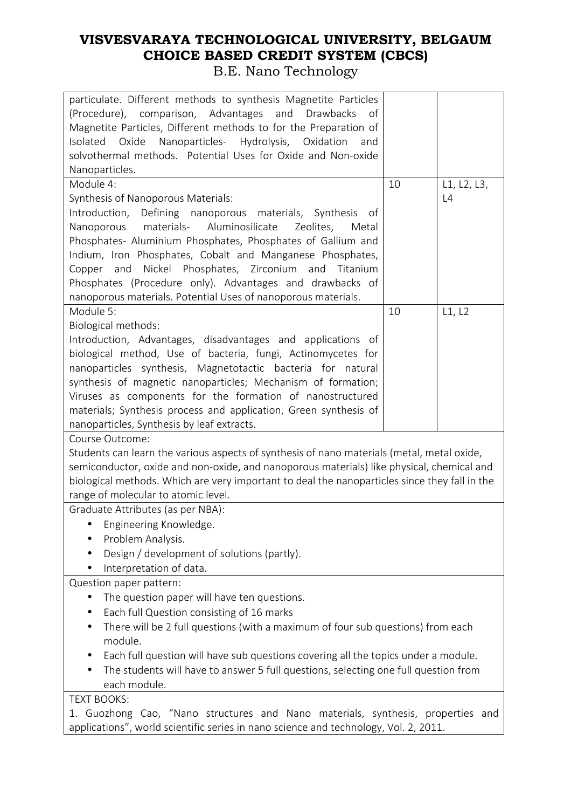#### **VISVESVARAYA TECHNOLOGICAL UNIVERSITY, BELGAUM CHOICE BASED CREDIT SYSTEM (CBCS)**  B.E. Nano Technology

| particulate. Different methods to synthesis Magnetite Particles<br>(Procedure), comparison, Advantages and Drawbacks<br>of<br>Magnetite Particles, Different methods to for the Preparation of<br>Nanoparticles- Hydrolysis, Oxidation<br>Oxide<br>Isolated<br>and<br>solvothermal methods. Potential Uses for Oxide and Non-oxide<br>Nanoparticles. |    |             |
|------------------------------------------------------------------------------------------------------------------------------------------------------------------------------------------------------------------------------------------------------------------------------------------------------------------------------------------------------|----|-------------|
| Module 4:                                                                                                                                                                                                                                                                                                                                            | 10 | L1, L2, L3, |
| Synthesis of Nanoporous Materials:                                                                                                                                                                                                                                                                                                                   |    | L4          |
| Defining nanoporous materials, Synthesis of<br>Introduction,                                                                                                                                                                                                                                                                                         |    |             |
| materials-<br>Aluminosilicate<br>Nanoporous<br>Zeolites,<br>Metal                                                                                                                                                                                                                                                                                    |    |             |
| Phosphates- Aluminium Phosphates, Phosphates of Gallium and                                                                                                                                                                                                                                                                                          |    |             |
| Indium, Iron Phosphates, Cobalt and Manganese Phosphates,                                                                                                                                                                                                                                                                                            |    |             |
| Nickel Phosphates, Zirconium and Titanium<br>Copper and                                                                                                                                                                                                                                                                                              |    |             |
| Phosphates (Procedure only). Advantages and drawbacks of                                                                                                                                                                                                                                                                                             |    |             |
| nanoporous materials. Potential Uses of nanoporous materials.                                                                                                                                                                                                                                                                                        |    |             |
| Module 5:                                                                                                                                                                                                                                                                                                                                            | 10 | L1, L2      |
| Biological methods:                                                                                                                                                                                                                                                                                                                                  |    |             |
| Introduction, Advantages, disadvantages and applications of                                                                                                                                                                                                                                                                                          |    |             |
| biological method, Use of bacteria, fungi, Actinomycetes for                                                                                                                                                                                                                                                                                         |    |             |
| nanoparticles synthesis, Magnetotactic bacteria for natural                                                                                                                                                                                                                                                                                          |    |             |
| synthesis of magnetic nanoparticles; Mechanism of formation;                                                                                                                                                                                                                                                                                         |    |             |
| Viruses as components for the formation of nanostructured                                                                                                                                                                                                                                                                                            |    |             |
| materials; Synthesis process and application, Green synthesis of                                                                                                                                                                                                                                                                                     |    |             |
| nanoparticles, Synthesis by leaf extracts.                                                                                                                                                                                                                                                                                                           |    |             |
| Course Outcome:                                                                                                                                                                                                                                                                                                                                      |    |             |
| Students can learn the various aspects of synthesis of nano materials (metal, metal oxide,                                                                                                                                                                                                                                                           |    |             |
| semiconductor, oxide and non-oxide, and nanoporous materials) like physical, chemical and                                                                                                                                                                                                                                                            |    |             |
| biological methods. Which are very important to deal the nanoparticles since they fall in the                                                                                                                                                                                                                                                        |    |             |
| range of molecular to atomic level.                                                                                                                                                                                                                                                                                                                  |    |             |
| Graduate Attributes (as per NBA):                                                                                                                                                                                                                                                                                                                    |    |             |
| Engineering Knowledge.                                                                                                                                                                                                                                                                                                                               |    |             |
| Problem Analysis.                                                                                                                                                                                                                                                                                                                                    |    |             |
| Design / development of solutions (partly).                                                                                                                                                                                                                                                                                                          |    |             |
| Interpretation of data.                                                                                                                                                                                                                                                                                                                              |    |             |
| Question paper pattern:                                                                                                                                                                                                                                                                                                                              |    |             |
| The question paper will have ten questions.<br>$\bullet$                                                                                                                                                                                                                                                                                             |    |             |
| Each full Question consisting of 16 marks<br>$\bullet$                                                                                                                                                                                                                                                                                               |    |             |
| There will be 2 full questions (with a maximum of four sub questions) from each                                                                                                                                                                                                                                                                      |    |             |
| module.                                                                                                                                                                                                                                                                                                                                              |    |             |
| Each full question will have sub questions covering all the topics under a module.                                                                                                                                                                                                                                                                   |    |             |
| The students will have to answer 5 full questions, selecting one full question from                                                                                                                                                                                                                                                                  |    |             |
| each module.                                                                                                                                                                                                                                                                                                                                         |    |             |
| <b>TEXT BOOKS:</b>                                                                                                                                                                                                                                                                                                                                   |    |             |
| 1. Guozhong Cao, "Nano structures and Nano materials, synthesis, properties and<br>applications", world scientific series in nano science and technology, Vol. 2, 2011.                                                                                                                                                                              |    |             |
|                                                                                                                                                                                                                                                                                                                                                      |    |             |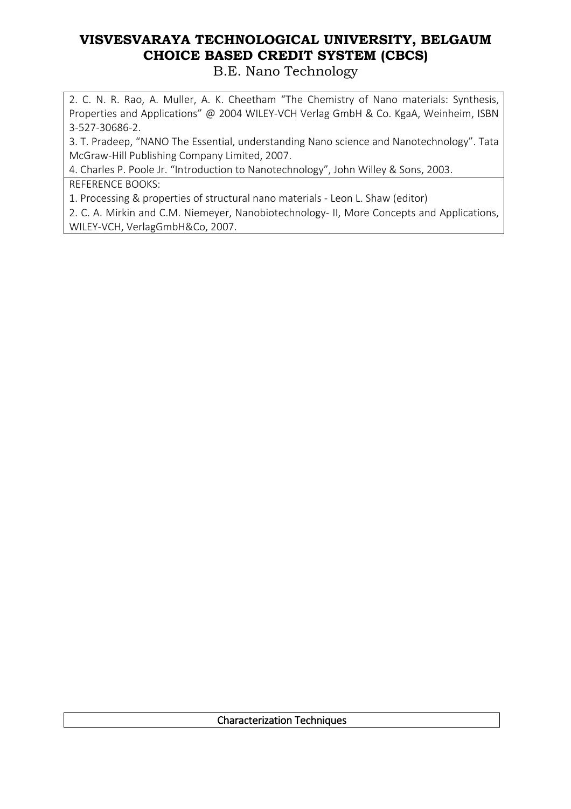B.E. Nano Technology

2. C. N. R. Rao, A. Muller, A. K. Cheetham "The Chemistry of Nano materials: Synthesis, Properties and Applications" @ 2004 WILEY-VCH Verlag GmbH & Co. KgaA, Weinheim, ISBN 3-527-30686-2.

3. T. Pradeep, "NANO The Essential, understanding Nano science and Nanotechnology". Tata McGraw-Hill Publishing Company Limited, 2007.

4. Charles P. Poole Jr. "Introduction to Nanotechnology", John Willey & Sons, 2003. REFERENCE BOOKS:

1. Processing & properties of structural nano materials - Leon L. Shaw (editor)

2. C. A. Mirkin and C.M. Niemeyer, Nanobiotechnology- II, More Concepts and Applications, WILEY-VCH, VerlagGmbH&Co, 2007.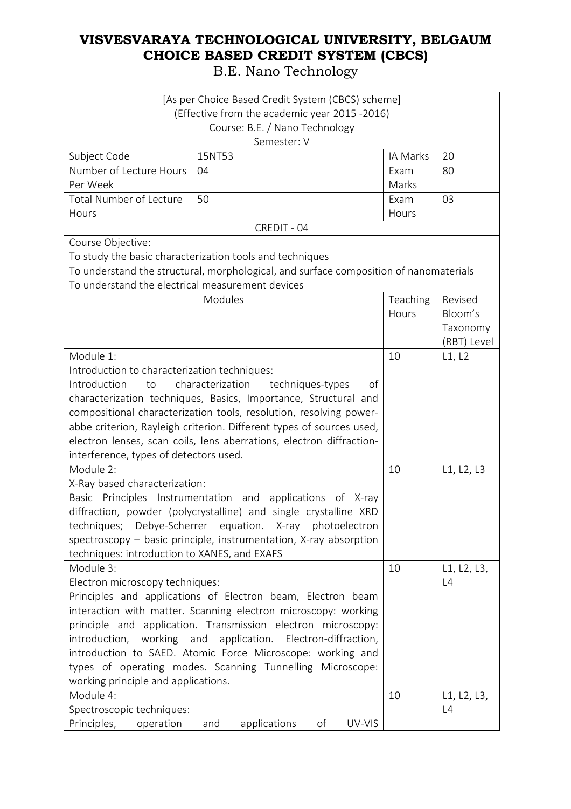| [As per Choice Based Credit System (CBCS) scheme]                                                                       |                                                                                       |          |             |
|-------------------------------------------------------------------------------------------------------------------------|---------------------------------------------------------------------------------------|----------|-------------|
|                                                                                                                         | (Effective from the academic year 2015 -2016)                                         |          |             |
|                                                                                                                         | Course: B.E. / Nano Technology                                                        |          |             |
|                                                                                                                         | Semester: V                                                                           |          |             |
| Subject Code                                                                                                            | 15NT53                                                                                | IA Marks | 20          |
| Number of Lecture Hours                                                                                                 | 04                                                                                    | Exam     | 80          |
| Per Week                                                                                                                |                                                                                       | Marks    |             |
| <b>Total Number of Lecture</b>                                                                                          | 50                                                                                    | Exam     | 03          |
| Hours                                                                                                                   |                                                                                       | Hours    |             |
|                                                                                                                         | CREDIT - 04                                                                           |          |             |
| Course Objective:                                                                                                       |                                                                                       |          |             |
|                                                                                                                         | To study the basic characterization tools and techniques                              |          |             |
|                                                                                                                         | To understand the structural, morphological, and surface composition of nanomaterials |          |             |
| To understand the electrical measurement devices                                                                        |                                                                                       |          |             |
|                                                                                                                         | Modules                                                                               | Teaching | Revised     |
|                                                                                                                         |                                                                                       | Hours    | Bloom's     |
|                                                                                                                         |                                                                                       |          | Taxonomy    |
|                                                                                                                         |                                                                                       |          | (RBT) Level |
| Module 1:                                                                                                               |                                                                                       | 10       | L1, L2      |
| Introduction to characterization techniques:                                                                            |                                                                                       |          |             |
| Introduction<br>to                                                                                                      | characterization<br>techniques-types<br>of                                            |          |             |
| characterization techniques, Basics, Importance, Structural and                                                         |                                                                                       |          |             |
| compositional characterization tools, resolution, resolving power-                                                      |                                                                                       |          |             |
| abbe criterion, Rayleigh criterion. Different types of sources used,                                                    |                                                                                       |          |             |
|                                                                                                                         | electron lenses, scan coils, lens aberrations, electron diffraction-                  |          |             |
| interference, types of detectors used.                                                                                  |                                                                                       |          |             |
| Module 2:                                                                                                               |                                                                                       | 10       | L1, L2, L3  |
| X-Ray based characterization:                                                                                           |                                                                                       |          |             |
| Principles Instrumentation and<br>Basic                                                                                 | applications of X-ray                                                                 |          |             |
|                                                                                                                         | diffraction, powder (polycrystalline) and single crystalline XRD                      |          |             |
|                                                                                                                         | techniques; Debye-Scherrer equation. X-ray photoelectron                              |          |             |
|                                                                                                                         | spectroscopy - basic principle, instrumentation, X-ray absorption                     |          |             |
| techniques: introduction to XANES, and EXAFS                                                                            |                                                                                       |          |             |
| Module 3:                                                                                                               |                                                                                       | 10       | L1, L2, L3, |
| Electron microscopy techniques:                                                                                         |                                                                                       |          | L4          |
|                                                                                                                         | Principles and applications of Electron beam, Electron beam                           |          |             |
|                                                                                                                         | interaction with matter. Scanning electron microscopy: working                        |          |             |
|                                                                                                                         | principle and application. Transmission electron microscopy:                          |          |             |
|                                                                                                                         | introduction, working and application. Electron-diffraction,                          |          |             |
| introduction to SAED. Atomic Force Microscope: working and<br>types of operating modes. Scanning Tunnelling Microscope: |                                                                                       |          |             |
|                                                                                                                         |                                                                                       |          |             |
| working principle and applications.<br>Module 4:                                                                        |                                                                                       | 10       | L1, L2, L3, |
| Spectroscopic techniques:                                                                                               |                                                                                       |          | L4          |
| Principles,                                                                                                             | UV-VIS<br>оf                                                                          |          |             |
| operation                                                                                                               | applications<br>and                                                                   |          |             |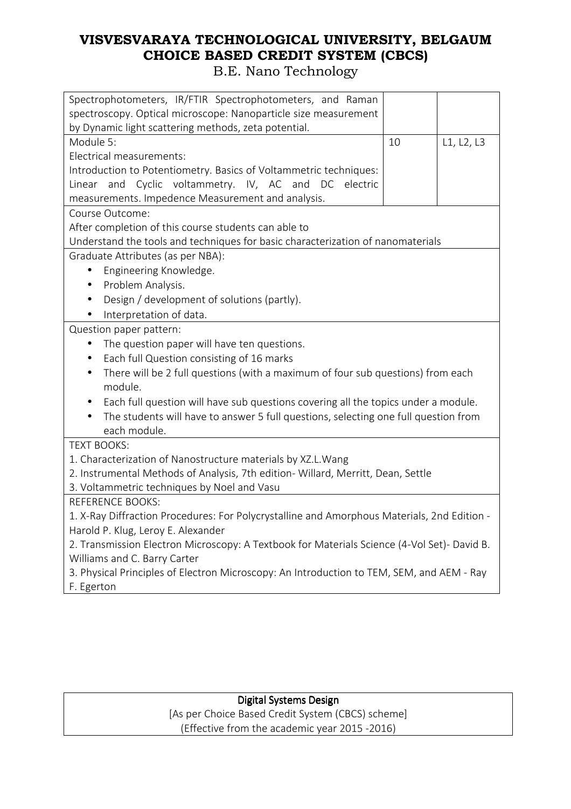B.E. Nano Technology

| Spectrophotometers, IR/FTIR Spectrophotometers, and Raman                                                               |    |            |
|-------------------------------------------------------------------------------------------------------------------------|----|------------|
| spectroscopy. Optical microscope: Nanoparticle size measurement<br>by Dynamic light scattering methods, zeta potential. |    |            |
| Module 5:                                                                                                               | 10 | L1, L2, L3 |
| Electrical measurements:                                                                                                |    |            |
| Introduction to Potentiometry. Basics of Voltammetric techniques:                                                       |    |            |
| Linear and Cyclic voltammetry. IV, AC and DC electric                                                                   |    |            |
| measurements. Impedence Measurement and analysis.                                                                       |    |            |
| Course Outcome:                                                                                                         |    |            |
| After completion of this course students can able to                                                                    |    |            |
| Understand the tools and techniques for basic characterization of nanomaterials                                         |    |            |
| Graduate Attributes (as per NBA):                                                                                       |    |            |
| Engineering Knowledge.<br>$\bullet$                                                                                     |    |            |
| Problem Analysis.<br>$\bullet$                                                                                          |    |            |
| Design / development of solutions (partly).                                                                             |    |            |
| Interpretation of data.                                                                                                 |    |            |
| Question paper pattern:                                                                                                 |    |            |
| The question paper will have ten questions.<br>$\bullet$                                                                |    |            |
| Each full Question consisting of 16 marks<br>$\bullet$                                                                  |    |            |
| There will be 2 full questions (with a maximum of four sub questions) from each<br>$\bullet$                            |    |            |
| module.                                                                                                                 |    |            |
| Each full question will have sub questions covering all the topics under a module.<br>$\bullet$                         |    |            |
| The students will have to answer 5 full questions, selecting one full question from                                     |    |            |
| each module.                                                                                                            |    |            |
| <b>TEXT BOOKS:</b>                                                                                                      |    |            |
| 1. Characterization of Nanostructure materials by XZ.L. Wang                                                            |    |            |
| 2. Instrumental Methods of Analysis, 7th edition- Willard, Merritt, Dean, Settle                                        |    |            |
| 3. Voltammetric techniques by Noel and Vasu                                                                             |    |            |
| <b>REFERENCE BOOKS:</b>                                                                                                 |    |            |
| 1. X-Ray Diffraction Procedures: For Polycrystalline and Amorphous Materials, 2nd Edition -                             |    |            |
| Harold P. Klug, Leroy E. Alexander                                                                                      |    |            |
| 2. Transmission Electron Microscopy: A Textbook for Materials Science (4-Vol Set)- David B.                             |    |            |
| Williams and C. Barry Carter                                                                                            |    |            |
| 3. Physical Principles of Electron Microscopy: An Introduction to TEM, SEM, and AEM - Ray<br>F. Egerton                 |    |            |
|                                                                                                                         |    |            |

#### Digital Systems Design

[As per Choice Based Credit System (CBCS) scheme] (Effective from the academic year 2015 -2016)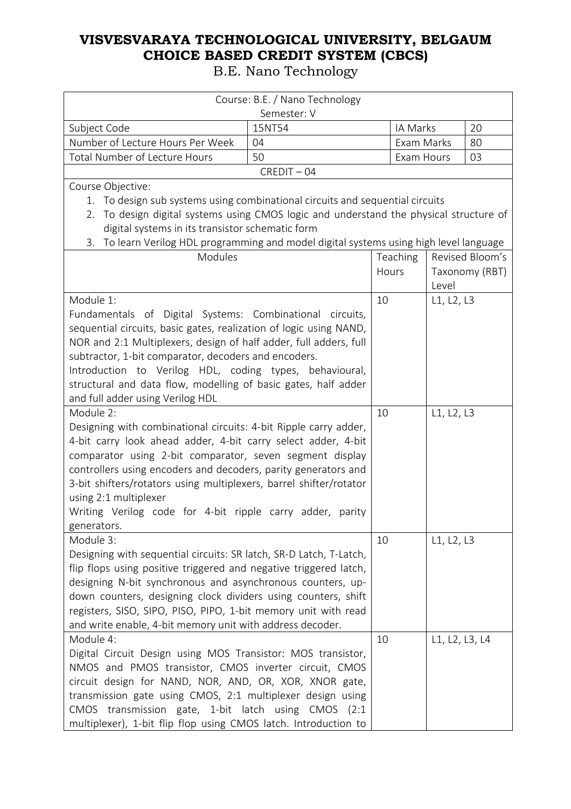| Course: B.E. / Nano Technology                                                                     |               |            |                |                 |
|----------------------------------------------------------------------------------------------------|---------------|------------|----------------|-----------------|
|                                                                                                    | Semester: V   |            |                |                 |
| Subject Code                                                                                       | 15NT54        | IA Marks   |                | 20              |
| Number of Lecture Hours Per Week                                                                   | 04            | Exam Marks |                | 80              |
| Total Number of Lecture Hours                                                                      | 50            | Exam Hours |                | 03              |
|                                                                                                    | $CREDIT - 04$ |            |                |                 |
| Course Objective:                                                                                  |               |            |                |                 |
| 1. To design sub systems using combinational circuits and sequential circuits                      |               |            |                |                 |
| To design digital systems using CMOS logic and understand the physical structure of<br>2.          |               |            |                |                 |
| digital systems in its transistor schematic form                                                   |               |            |                |                 |
| To learn Verilog HDL programming and model digital systems using high level language<br>3.         |               |            |                |                 |
| Modules                                                                                            |               | Teaching   |                | Revised Bloom's |
|                                                                                                    |               | Hours      |                | Taxonomy (RBT)  |
|                                                                                                    |               |            | Level          |                 |
| Module 1:                                                                                          |               | 10         | L1, L2, L3     |                 |
| Fundamentals of Digital Systems: Combinational circuits,                                           |               |            |                |                 |
| sequential circuits, basic gates, realization of logic using NAND,                                 |               |            |                |                 |
| NOR and 2:1 Multiplexers, design of half adder, full adders, full                                  |               |            |                |                 |
| subtractor, 1-bit comparator, decoders and encoders.                                               |               |            |                |                 |
| Introduction to Verilog HDL, coding types, behavioural,                                            |               |            |                |                 |
| structural and data flow, modelling of basic gates, half adder<br>and full adder using Verilog HDL |               |            |                |                 |
| Module 2:                                                                                          |               | 10         | L1, L2, L3     |                 |
| Designing with combinational circuits: 4-bit Ripple carry adder,                                   |               |            |                |                 |
| 4-bit carry look ahead adder, 4-bit carry select adder, 4-bit                                      |               |            |                |                 |
| comparator using 2-bit comparator, seven segment display                                           |               |            |                |                 |
| controllers using encoders and decoders, parity generators and                                     |               |            |                |                 |
|                                                                                                    |               |            |                |                 |
| 3-bit shifters/rotators using multiplexers, barrel shifter/rotator<br>using 2:1 multiplexer        |               |            |                |                 |
| Writing Verilog code for 4-bit ripple carry adder, parity                                          |               |            |                |                 |
| generators.                                                                                        |               |            |                |                 |
| Module 3:                                                                                          |               | 10         | L1, L2, L3     |                 |
| Designing with sequential circuits: SR latch, SR-D Latch, T-Latch,                                 |               |            |                |                 |
| flip flops using positive triggered and negative triggered latch,                                  |               |            |                |                 |
| designing N-bit synchronous and asynchronous counters, up-                                         |               |            |                |                 |
| down counters, designing clock dividers using counters, shift                                      |               |            |                |                 |
| registers, SISO, SIPO, PISO, PIPO, 1-bit memory unit with read                                     |               |            |                |                 |
| and write enable, 4-bit memory unit with address decoder.                                          |               |            |                |                 |
| Module 4:                                                                                          |               | 10         | L1, L2, L3, L4 |                 |
| Digital Circuit Design using MOS Transistor: MOS transistor,                                       |               |            |                |                 |
| NMOS and PMOS transistor, CMOS inverter circuit, CMOS                                              |               |            |                |                 |
| circuit design for NAND, NOR, AND, OR, XOR, XNOR gate,                                             |               |            |                |                 |
| transmission gate using CMOS, 2:1 multiplexer design using                                         |               |            |                |                 |
| CMOS transmission gate, 1-bit latch using CMOS                                                     | (2:1)         |            |                |                 |
| multiplexer), 1-bit flip flop using CMOS latch. Introduction to                                    |               |            |                |                 |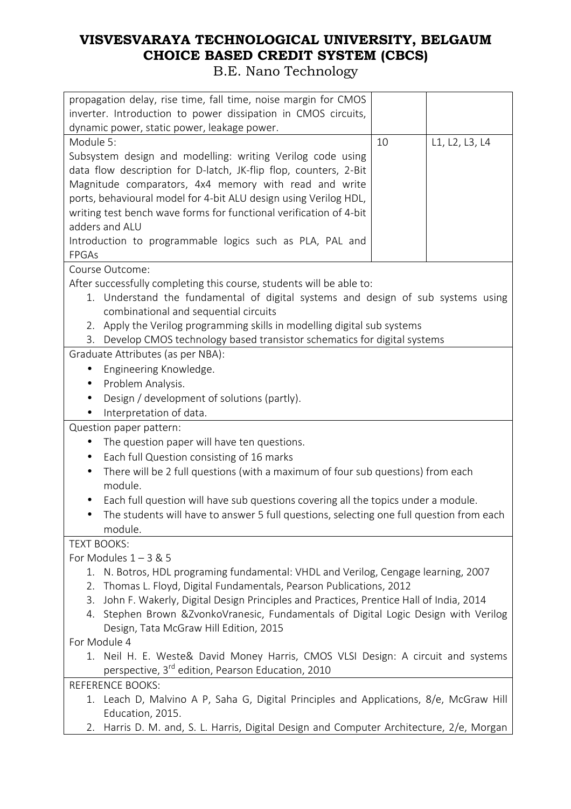| propagation delay, rise time, fall time, noise margin for CMOS                               |                                             |                |  |
|----------------------------------------------------------------------------------------------|---------------------------------------------|----------------|--|
| inverter. Introduction to power dissipation in CMOS circuits,                                |                                             |                |  |
| dynamic power, static power, leakage power.<br>Module 5:                                     | 10                                          |                |  |
| Subsystem design and modelling: writing Verilog code using                                   |                                             | L1, L2, L3, L4 |  |
| data flow description for D-latch, JK-flip flop, counters, 2-Bit                             |                                             |                |  |
| Magnitude comparators, 4x4 memory with read and write                                        |                                             |                |  |
| ports, behavioural model for 4-bit ALU design using Verilog HDL,                             |                                             |                |  |
| writing test bench wave forms for functional verification of 4-bit                           |                                             |                |  |
| adders and ALU                                                                               |                                             |                |  |
| Introduction to programmable logics such as PLA, PAL and                                     |                                             |                |  |
| <b>FPGAs</b>                                                                                 |                                             |                |  |
| Course Outcome:                                                                              |                                             |                |  |
| After successfully completing this course, students will be able to:                         |                                             |                |  |
| 1. Understand the fundamental of digital systems and design of sub systems using             |                                             |                |  |
| combinational and sequential circuits                                                        |                                             |                |  |
| Apply the Verilog programming skills in modelling digital sub systems<br>2.                  |                                             |                |  |
| 3. Develop CMOS technology based transistor schematics for digital systems                   |                                             |                |  |
| Graduate Attributes (as per NBA):                                                            |                                             |                |  |
| Engineering Knowledge.                                                                       |                                             |                |  |
| Problem Analysis.                                                                            |                                             |                |  |
| Design / development of solutions (partly).                                                  |                                             |                |  |
| Interpretation of data.                                                                      |                                             |                |  |
| Question paper pattern:                                                                      |                                             |                |  |
| $\bullet$                                                                                    | The question paper will have ten questions. |                |  |
| Each full Question consisting of 16 marks<br>$\bullet$                                       |                                             |                |  |
| There will be 2 full questions (with a maximum of four sub questions) from each<br>$\bullet$ |                                             |                |  |
| module.                                                                                      |                                             |                |  |
| Each full question will have sub questions covering all the topics under a module.           |                                             |                |  |
| The students will have to answer 5 full questions, selecting one full question from each     |                                             |                |  |
| module.                                                                                      |                                             |                |  |
| <b>TEXT BOOKS:</b><br>For Modules $1 - 3$ & 5                                                |                                             |                |  |
| N. Botros, HDL programing fundamental: VHDL and Verilog, Cengage learning, 2007<br>1.        |                                             |                |  |
| Thomas L. Floyd, Digital Fundamentals, Pearson Publications, 2012<br>2.                      |                                             |                |  |
| John F. Wakerly, Digital Design Principles and Practices, Prentice Hall of India, 2014<br>3. |                                             |                |  |
| 4. Stephen Brown &ZvonkoVranesic, Fundamentals of Digital Logic Design with Verilog          |                                             |                |  |
| Design, Tata McGraw Hill Edition, 2015                                                       |                                             |                |  |
| For Module 4                                                                                 |                                             |                |  |
| 1. Neil H. E. Weste& David Money Harris, CMOS VLSI Design: A circuit and systems             |                                             |                |  |
| perspective, 3 <sup>rd</sup> edition, Pearson Education, 2010                                |                                             |                |  |
| <b>REFERENCE BOOKS:</b>                                                                      |                                             |                |  |
| 1. Leach D, Malvino A P, Saha G, Digital Principles and Applications, 8/e, McGraw Hill       |                                             |                |  |
| Education, 2015.                                                                             |                                             |                |  |
| Harris D. M. and, S. L. Harris, Digital Design and Computer Architecture, 2/e, Morgan<br>2.  |                                             |                |  |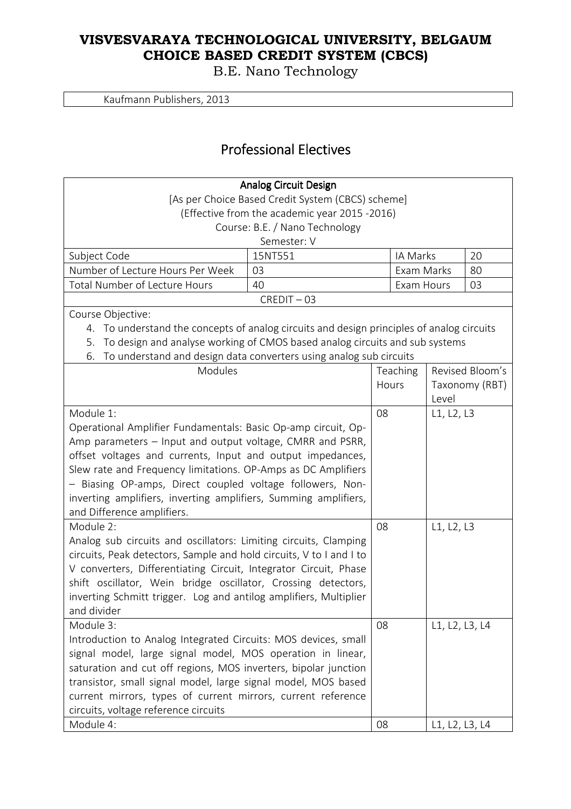B.E. Nano Technology

Kaufmann Publishers, 2013

### Professional Electives Professional Electives

|                                                                                              | <b>Analog Circuit Design</b>   |    |            |                |                 |
|----------------------------------------------------------------------------------------------|--------------------------------|----|------------|----------------|-----------------|
| [As per Choice Based Credit System (CBCS) scheme]                                            |                                |    |            |                |                 |
| (Effective from the academic year 2015 -2016)                                                |                                |    |            |                |                 |
|                                                                                              | Course: B.E. / Nano Technology |    |            |                |                 |
|                                                                                              | Semester: V                    |    |            |                |                 |
| Subject Code                                                                                 | 15NT551                        |    | IA Marks   |                | 20              |
| Number of Lecture Hours Per Week                                                             | 03                             |    | Exam Marks |                | 80              |
| <b>Total Number of Lecture Hours</b>                                                         | 40                             |    | Exam Hours |                | 03              |
|                                                                                              | $CREDIT - 03$                  |    |            |                |                 |
| Course Objective:                                                                            |                                |    |            |                |                 |
| To understand the concepts of analog circuits and design principles of analog circuits<br>4. |                                |    |            |                |                 |
| To design and analyse working of CMOS based analog circuits and sub systems<br>5.            |                                |    |            |                |                 |
| To understand and design data converters using analog sub circuits<br>6.                     |                                |    |            |                |                 |
| Modules                                                                                      |                                |    | Teaching   |                | Revised Bloom's |
|                                                                                              |                                |    | Hours      |                | Taxonomy (RBT)  |
|                                                                                              |                                |    |            | Level          |                 |
| Module 1:                                                                                    |                                | 08 |            | L1, L2, L3     |                 |
| Operational Amplifier Fundamentals: Basic Op-amp circuit, Op-                                |                                |    |            |                |                 |
| Amp parameters - Input and output voltage, CMRR and PSRR,                                    |                                |    |            |                |                 |
| offset voltages and currents, Input and output impedances,                                   |                                |    |            |                |                 |
| Slew rate and Frequency limitations. OP-Amps as DC Amplifiers                                |                                |    |            |                |                 |
| - Biasing OP-amps, Direct coupled voltage followers, Non-                                    |                                |    |            |                |                 |
| inverting amplifiers, inverting amplifiers, Summing amplifiers,                              |                                |    |            |                |                 |
| and Difference amplifiers.                                                                   |                                |    |            |                |                 |
| Module 2:                                                                                    |                                | 08 |            | L1, L2, L3     |                 |
| Analog sub circuits and oscillators: Limiting circuits, Clamping                             |                                |    |            |                |                 |
| circuits, Peak detectors, Sample and hold circuits, V to I and I to                          |                                |    |            |                |                 |
| V converters, Differentiating Circuit, Integrator Circuit, Phase                             |                                |    |            |                |                 |
| shift oscillator, Wein bridge oscillator, Crossing detectors,                                |                                |    |            |                |                 |
| inverting Schmitt trigger. Log and antilog amplifiers, Multiplier                            |                                |    |            |                |                 |
| and divider                                                                                  |                                |    |            |                |                 |
| Module 3:                                                                                    |                                | 08 |            | L1, L2, L3, L4 |                 |
| Introduction to Analog Integrated Circuits: MOS devices, small                               |                                |    |            |                |                 |
| signal model, large signal model, MOS operation in linear,                                   |                                |    |            |                |                 |
| saturation and cut off regions, MOS inverters, bipolar junction                              |                                |    |            |                |                 |
| transistor, small signal model, large signal model, MOS based                                |                                |    |            |                |                 |
| current mirrors, types of current mirrors, current reference                                 |                                |    |            |                |                 |
| circuits, voltage reference circuits                                                         |                                |    |            |                |                 |
| Module 4:                                                                                    |                                | 08 |            | L1, L2, L3, L4 |                 |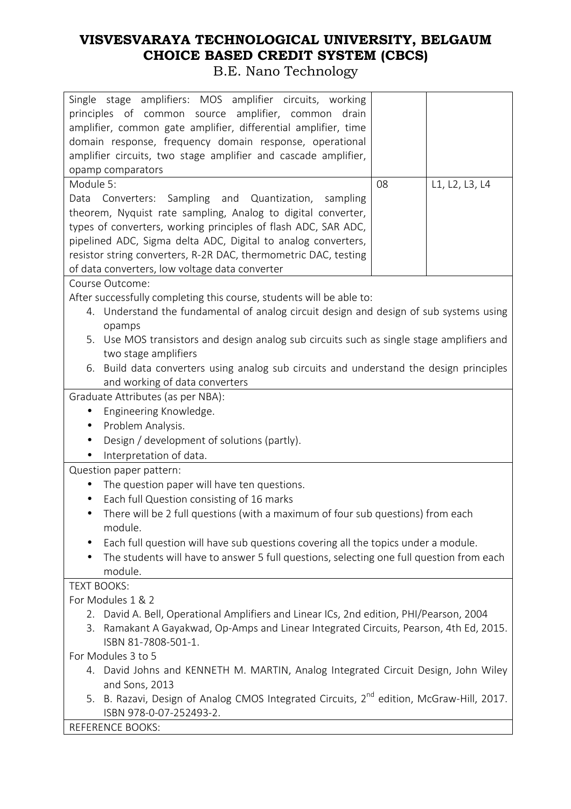| Single stage amplifiers: MOS amplifier circuits, working                                                                                                                          |    |                |  |
|-----------------------------------------------------------------------------------------------------------------------------------------------------------------------------------|----|----------------|--|
| drain                                                                                                                                                                             |    |                |  |
| principles of common source amplifier, common                                                                                                                                     |    |                |  |
| amplifier, common gate amplifier, differential amplifier, time                                                                                                                    |    |                |  |
| domain response, frequency domain response, operational                                                                                                                           |    |                |  |
| amplifier circuits, two stage amplifier and cascade amplifier,                                                                                                                    |    |                |  |
| opamp comparators                                                                                                                                                                 |    |                |  |
| Module 5:                                                                                                                                                                         | 08 | L1, L2, L3, L4 |  |
| Converters: Sampling and Quantization, sampling<br>Data                                                                                                                           |    |                |  |
| theorem, Nyquist rate sampling, Analog to digital converter,                                                                                                                      |    |                |  |
| types of converters, working principles of flash ADC, SAR ADC,                                                                                                                    |    |                |  |
| pipelined ADC, Sigma delta ADC, Digital to analog converters,                                                                                                                     |    |                |  |
| resistor string converters, R-2R DAC, thermometric DAC, testing                                                                                                                   |    |                |  |
| of data converters, low voltage data converter                                                                                                                                    |    |                |  |
| Course Outcome:                                                                                                                                                                   |    |                |  |
| After successfully completing this course, students will be able to:                                                                                                              |    |                |  |
| 4. Understand the fundamental of analog circuit design and design of sub systems using                                                                                            |    |                |  |
| opamps                                                                                                                                                                            |    |                |  |
| 5. Use MOS transistors and design analog sub circuits such as single stage amplifiers and                                                                                         |    |                |  |
| two stage amplifiers                                                                                                                                                              |    |                |  |
| 6. Build data converters using analog sub circuits and understand the design principles                                                                                           |    |                |  |
| and working of data converters                                                                                                                                                    |    |                |  |
| Graduate Attributes (as per NBA):                                                                                                                                                 |    |                |  |
| Engineering Knowledge.<br>$\bullet$                                                                                                                                               |    |                |  |
| Problem Analysis.<br>$\bullet$                                                                                                                                                    |    |                |  |
| Design / development of solutions (partly).                                                                                                                                       |    |                |  |
| Interpretation of data.                                                                                                                                                           |    |                |  |
| Question paper pattern:                                                                                                                                                           |    |                |  |
| The question paper will have ten questions.<br>$\bullet$                                                                                                                          |    |                |  |
| Each full Question consisting of 16 marks<br>$\bullet$                                                                                                                            |    |                |  |
| There will be 2 full questions (with a maximum of four sub questions) from each<br>$\bullet$                                                                                      |    |                |  |
| module.                                                                                                                                                                           |    |                |  |
| Each full question will have sub questions covering all the topics under a module.                                                                                                |    |                |  |
| The students will have to answer 5 full questions, selecting one full question from each                                                                                          |    |                |  |
| module.                                                                                                                                                                           |    |                |  |
| <b>TEXT BOOKS:</b>                                                                                                                                                                |    |                |  |
| For Modules 1 & 2                                                                                                                                                                 |    |                |  |
|                                                                                                                                                                                   |    |                |  |
| 2. David A. Bell, Operational Amplifiers and Linear ICs, 2nd edition, PHI/Pearson, 2004<br>3. Ramakant A Gayakwad, Op-Amps and Linear Integrated Circuits, Pearson, 4th Ed, 2015. |    |                |  |
| ISBN 81-7808-501-1.                                                                                                                                                               |    |                |  |
| For Modules 3 to 5                                                                                                                                                                |    |                |  |
| 4. David Johns and KENNETH M. MARTIN, Analog Integrated Circuit Design, John Wiley                                                                                                |    |                |  |
| and Sons, 2013                                                                                                                                                                    |    |                |  |
| 5. B. Razavi, Design of Analog CMOS Integrated Circuits, 2 <sup>nd</sup> edition, McGraw-Hill, 2017.                                                                              |    |                |  |
| ISBN 978-0-07-252493-2.                                                                                                                                                           |    |                |  |
| <b>REFERENCE BOOKS:</b>                                                                                                                                                           |    |                |  |
|                                                                                                                                                                                   |    |                |  |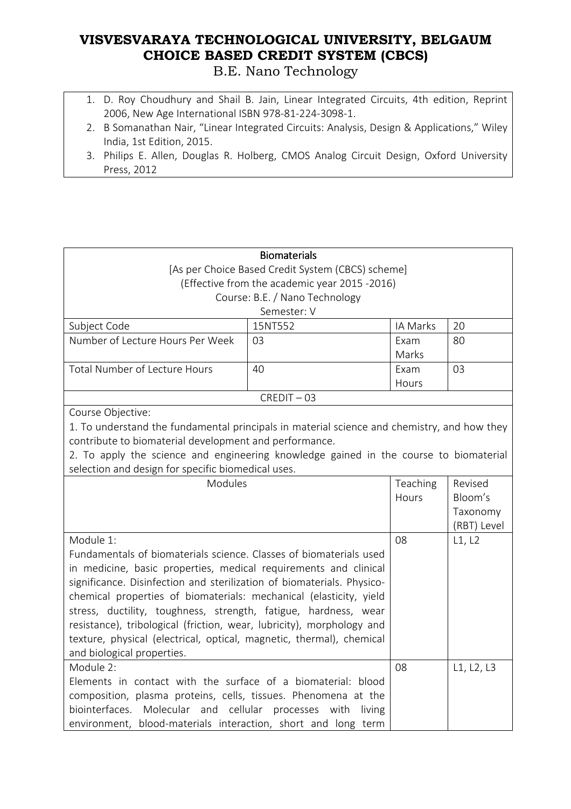#### **VISVESVARAYA TECHNOLOGICAL UNIVERSITY, BELGAUM CHOICE BASED CREDIT SYSTEM (CBCS)**  B.E. Nano Technology

- 1. D. Roy Choudhury and Shail B. Jain, Linear Integrated Circuits, 4th edition, Reprint 2006, New Age International ISBN 978-81-224-3098-1.
- 2. B Somanathan Nair, "Linear Integrated Circuits: Analysis, Design & Applications," Wiley India, 1st Edition, 2015.
- 3. Philips E. Allen, Douglas R. Holberg, CMOS Analog Circuit Design, Oxford University Press, 2012

|                                                                                             | <b>Biomaterials</b>                           |          |             |
|---------------------------------------------------------------------------------------------|-----------------------------------------------|----------|-------------|
| [As per Choice Based Credit System (CBCS) scheme]                                           |                                               |          |             |
|                                                                                             | (Effective from the academic year 2015 -2016) |          |             |
|                                                                                             | Course: B.E. / Nano Technology                |          |             |
|                                                                                             | Semester: V                                   |          |             |
| Subject Code                                                                                | 15NT552                                       | IA Marks | 20          |
| Number of Lecture Hours Per Week                                                            | 03                                            | Exam     | 80          |
|                                                                                             |                                               | Marks    |             |
| Total Number of Lecture Hours                                                               | 40                                            | Exam     | 03          |
|                                                                                             |                                               | Hours    |             |
|                                                                                             | $CREDIT - 03$                                 |          |             |
| Course Objective:                                                                           |                                               |          |             |
| 1. To understand the fundamental principals in material science and chemistry, and how they |                                               |          |             |
| contribute to biomaterial development and performance.                                      |                                               |          |             |
| 2. To apply the science and engineering knowledge gained in the course to biomaterial       |                                               |          |             |
| selection and design for specific biomedical uses.                                          |                                               |          |             |
| Modules                                                                                     |                                               | Teaching | Revised     |
|                                                                                             |                                               | Hours    | Bloom's     |
|                                                                                             |                                               |          | Taxonomy    |
|                                                                                             |                                               |          | (RBT) Level |
| Module 1:                                                                                   |                                               | 08       | L1, L2      |
| Fundamentals of biomaterials science. Classes of biomaterials used                          |                                               |          |             |
| in medicine, basic properties, medical requirements and clinical                            |                                               |          |             |
| significance. Disinfection and sterilization of biomaterials. Physico-                      |                                               |          |             |
| chemical properties of biomaterials: mechanical (elasticity, yield                          |                                               |          |             |
| stress, ductility, toughness, strength, fatigue, hardness, wear                             |                                               |          |             |
| resistance), tribological (friction, wear, lubricity), morphology and                       |                                               |          |             |
| texture, physical (electrical, optical, magnetic, thermal), chemical                        |                                               |          |             |
| and biological properties.                                                                  |                                               |          |             |
| Module 2:                                                                                   |                                               | 08       | L1, L2, L3  |
| Elements in contact with the surface of a biomaterial: blood                                |                                               |          |             |
| composition, plasma proteins, cells, tissues. Phenomena at the                              |                                               |          |             |
| biointerfaces. Molecular and cellular processes with                                        | living                                        |          |             |
| environment, blood-materials interaction, short and long term                               |                                               |          |             |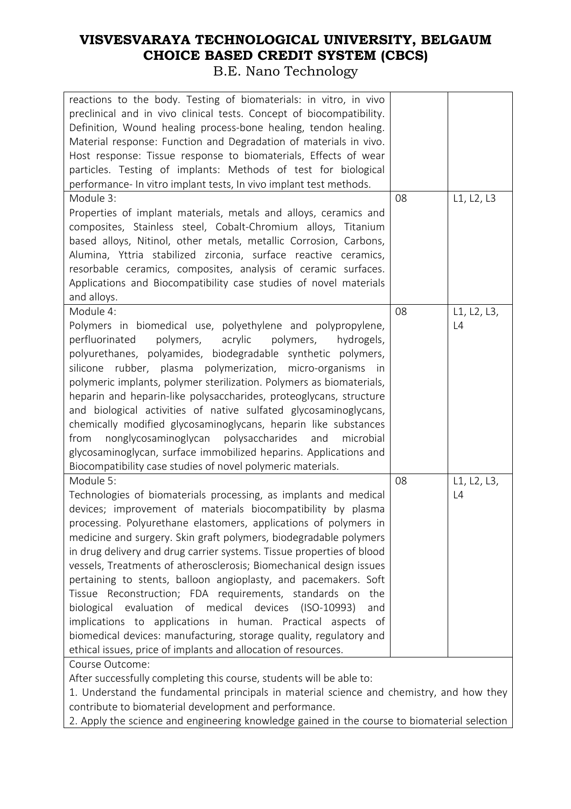#### **VISVESVARAYA TECHNOLOGICAL UNIVERSITY, BELGAUM CHOICE BASED CREDIT SYSTEM (CBCS)**  B.E. Nano Technology

| reactions to the body. Testing of biomaterials: in vitro, in vivo<br>preclinical and in vivo clinical tests. Concept of biocompatibility.<br>Definition, Wound healing process-bone healing, tendon healing.<br>Material response: Function and Degradation of materials in vivo.<br>Host response: Tissue response to biomaterials, Effects of wear<br>particles. Testing of implants: Methods of test for biological<br>performance- In vitro implant tests, In vivo implant test methods.                                                                                                                                                                                                                                                                                                                                                    |    |                   |
|-------------------------------------------------------------------------------------------------------------------------------------------------------------------------------------------------------------------------------------------------------------------------------------------------------------------------------------------------------------------------------------------------------------------------------------------------------------------------------------------------------------------------------------------------------------------------------------------------------------------------------------------------------------------------------------------------------------------------------------------------------------------------------------------------------------------------------------------------|----|-------------------|
| Module 3:<br>Properties of implant materials, metals and alloys, ceramics and<br>composites, Stainless steel, Cobalt-Chromium alloys, Titanium<br>based alloys, Nitinol, other metals, metallic Corrosion, Carbons,<br>Alumina, Yttria stabilized zirconia, surface reactive ceramics,<br>resorbable ceramics, composites, analysis of ceramic surfaces.<br>Applications and Biocompatibility case studies of novel materials<br>and alloys.                                                                                                                                                                                                                                                                                                                                                                                                    | 08 | L1, L2, L3        |
| Module 4:<br>Polymers in biomedical use, polyethylene and polypropylene,<br>polymers,<br>acrylic<br>polymers, hydrogels,<br>perfluorinated<br>polyurethanes, polyamides, biodegradable synthetic polymers,<br>silicone rubber, plasma polymerization, micro-organisms in<br>polymeric implants, polymer sterilization. Polymers as biomaterials,<br>heparin and heparin-like polysaccharides, proteoglycans, structure<br>and biological activities of native sulfated glycosaminoglycans,<br>chemically modified glycosaminoglycans, heparin like substances<br>nonglycosaminoglycan polysaccharides<br>and<br>microbial<br>from<br>glycosaminoglycan, surface immobilized heparins. Applications and<br>Biocompatibility case studies of novel polymeric materials.                                                                           | 08 | L1, L2, L3,<br>L4 |
| Module 5:<br>Technologies of biomaterials processing, as implants and medical<br>devices; improvement of materials biocompatibility by plasma<br>processing. Polyurethane elastomers, applications of polymers in<br>medicine and surgery. Skin graft polymers, biodegradable polymers<br>in drug delivery and drug carrier systems. Tissue properties of blood<br>vessels, Treatments of atherosclerosis; Biomechanical design issues<br>pertaining to stents, balloon angioplasty, and pacemakers. Soft<br>Tissue Reconstruction; FDA requirements, standards on<br>the<br>biological evaluation of medical devices (ISO-10993)<br>and<br>implications to applications in human. Practical aspects of<br>biomedical devices: manufacturing, storage quality, regulatory and<br>ethical issues, price of implants and allocation of resources. | 08 | L1, L2, L3,<br>L4 |
| Course Outcome:<br>After successfully completing this course, students will be able to:<br>1. Understand the fundamental principals in material science and chemistry, and how they<br>contribute to biomaterial development and performance.                                                                                                                                                                                                                                                                                                                                                                                                                                                                                                                                                                                                   |    |                   |

2. Apply the science and engineering knowledge gained in the course to biomaterial selection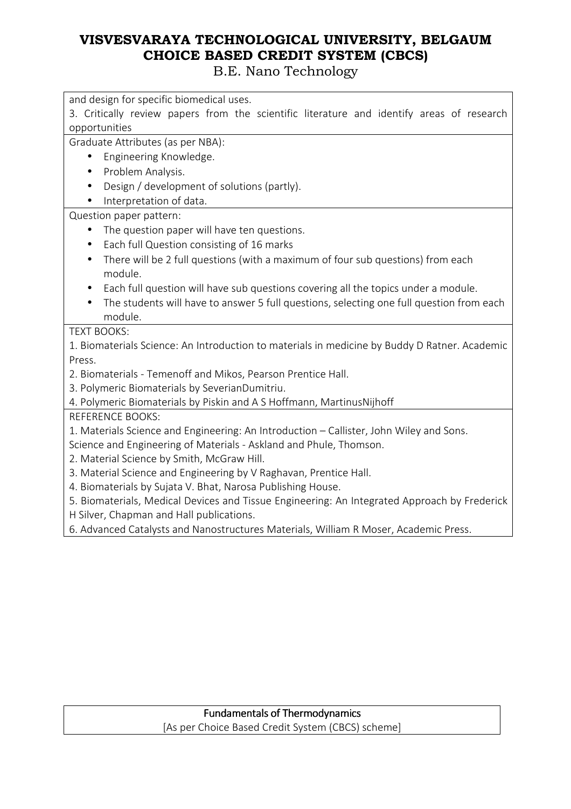| and design for specific biomedical uses.                                                      |
|-----------------------------------------------------------------------------------------------|
| 3. Critically review papers from the scientific literature and identify areas of research     |
| opportunities                                                                                 |
| Graduate Attributes (as per NBA):                                                             |
| Engineering Knowledge.<br>$\bullet$                                                           |
| Problem Analysis.<br>$\bullet$                                                                |
| Design / development of solutions (partly).                                                   |
| Interpretation of data.                                                                       |
| Question paper pattern:                                                                       |
| The question paper will have ten questions.                                                   |
| Each full Question consisting of 16 marks<br>$\bullet$                                        |
| There will be 2 full questions (with a maximum of four sub questions) from each<br>$\bullet$  |
| module.                                                                                       |
| Each full question will have sub questions covering all the topics under a module.            |
| The students will have to answer 5 full questions, selecting one full question from each      |
| module.                                                                                       |
| <b>TEXT BOOKS:</b>                                                                            |
| 1. Biomaterials Science: An Introduction to materials in medicine by Buddy D Ratner. Academic |
| Press.                                                                                        |
| 2. Biomaterials - Temenoff and Mikos, Pearson Prentice Hall.                                  |
| 3. Polymeric Biomaterials by SeverianDumitriu.                                                |
| 4. Polymeric Biomaterials by Piskin and A S Hoffmann, MartinusNijhoff                         |
| <b>REFERENCE BOOKS:</b>                                                                       |
| 1. Materials Science and Engineering: An Introduction - Callister, John Wiley and Sons.       |
| Science and Engineering of Materials - Askland and Phule, Thomson.                            |
| 2. Material Science by Smith, McGraw Hill.                                                    |
| 3. Material Science and Engineering by V Raghavan, Prentice Hall.                             |
| 4. Biomaterials by Sujata V. Bhat, Narosa Publishing House.                                   |
| 5. Biomaterials, Medical Devices and Tissue Engineering: An Integrated Approach by Frederick  |
| H Silver, Chapman and Hall publications.                                                      |
| 6. Advanced Catalysts and Nanostructures Materials, William R Moser, Academic Press.          |
|                                                                                               |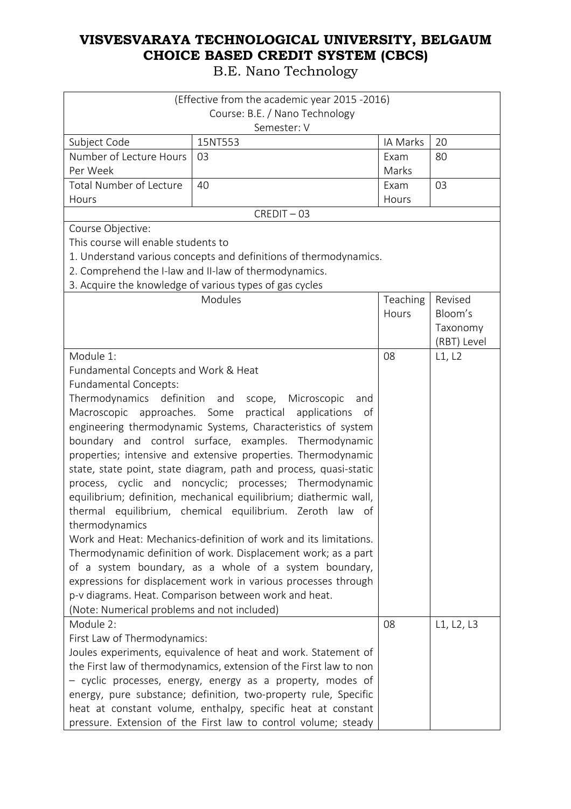|                                                                | (Effective from the academic year 2015 -2016)                      |          |             |
|----------------------------------------------------------------|--------------------------------------------------------------------|----------|-------------|
|                                                                | Course: B.E. / Nano Technology                                     |          |             |
|                                                                | Semester: V                                                        |          |             |
| Subject Code                                                   | 15NT553                                                            | IA Marks | 20          |
| Number of Lecture Hours                                        | 03                                                                 | Exam     | 80          |
| Per Week                                                       |                                                                    | Marks    |             |
| <b>Total Number of Lecture</b>                                 | 40                                                                 | Exam     | 03          |
| Hours                                                          |                                                                    | Hours    |             |
|                                                                | $CREDIT - 03$                                                      |          |             |
| Course Objective:                                              |                                                                    |          |             |
| This course will enable students to                            |                                                                    |          |             |
|                                                                | 1. Understand various concepts and definitions of thermodynamics.  |          |             |
|                                                                | 2. Comprehend the I-law and II-law of thermodynamics.              |          |             |
|                                                                | 3. Acquire the knowledge of various types of gas cycles            |          |             |
|                                                                | Modules                                                            | Teaching | Revised     |
|                                                                |                                                                    | Hours    | Bloom's     |
|                                                                |                                                                    |          | Taxonomy    |
|                                                                |                                                                    |          | (RBT) Level |
| Module 1:                                                      |                                                                    | 08       | L1, L2      |
| Fundamental Concepts and Work & Heat                           |                                                                    |          |             |
| Fundamental Concepts:                                          |                                                                    |          |             |
|                                                                | Thermodynamics definition and scope, Microscopic<br>and            |          |             |
| Macroscopic approaches. Some practical                         | applications<br>of                                                 |          |             |
|                                                                | engineering thermodynamic Systems, Characteristics of system       |          |             |
|                                                                | boundary and control surface, examples. Thermodynamic              |          |             |
|                                                                | properties; intensive and extensive properties. Thermodynamic      |          |             |
|                                                                | state, state point, state diagram, path and process, quasi-static  |          |             |
| process, cyclic and                                            | noncyclic; processes; Thermodynamic                                |          |             |
|                                                                | equilibrium; definition, mechanical equilibrium; diathermic wall,  |          |             |
|                                                                | thermal equilibrium, chemical equilibrium. Zeroth law of           |          |             |
| thermodynamics                                                 |                                                                    |          |             |
|                                                                | Work and Heat: Mechanics-definition of work and its limitations.   |          |             |
|                                                                | Thermodynamic definition of work. Displacement work; as a part     |          |             |
|                                                                | of a system boundary, as a whole of a system boundary,             |          |             |
|                                                                | expressions for displacement work in various processes through     |          |             |
|                                                                | p-v diagrams. Heat. Comparison between work and heat.              |          |             |
| (Note: Numerical problems and not included)                    |                                                                    |          |             |
| Module 2:                                                      |                                                                    | 08       | L1, L2, L3  |
| First Law of Thermodynamics:                                   |                                                                    |          |             |
| Joules experiments, equivalence of heat and work. Statement of |                                                                    |          |             |
|                                                                | the First law of thermodynamics, extension of the First law to non |          |             |
|                                                                | - cyclic processes, energy, energy as a property, modes of         |          |             |
|                                                                | energy, pure substance; definition, two-property rule, Specific    |          |             |
|                                                                | heat at constant volume, enthalpy, specific heat at constant       |          |             |
|                                                                | pressure. Extension of the First law to control volume; steady     |          |             |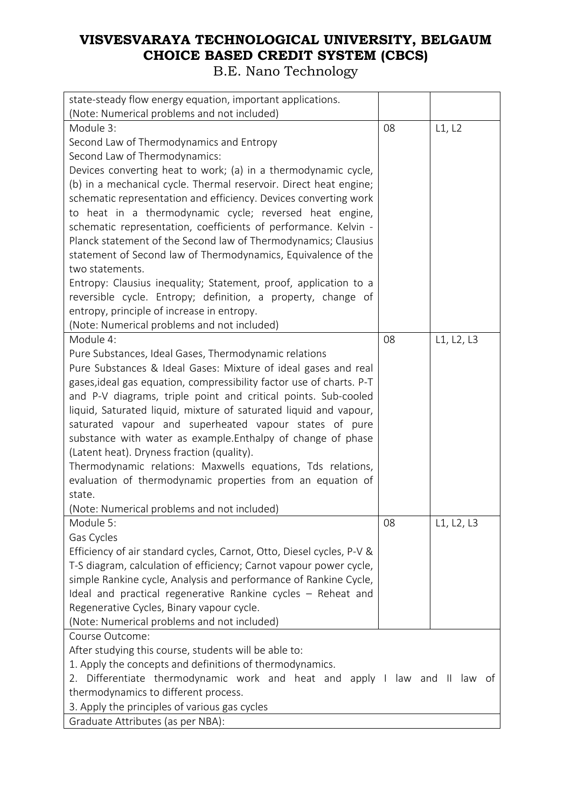| state-steady flow energy equation, important applications.                                                                            |    |            |
|---------------------------------------------------------------------------------------------------------------------------------------|----|------------|
| (Note: Numerical problems and not included)                                                                                           |    |            |
| Module 3:                                                                                                                             | 08 | L1, L2     |
| Second Law of Thermodynamics and Entropy                                                                                              |    |            |
| Second Law of Thermodynamics:                                                                                                         |    |            |
| Devices converting heat to work; (a) in a thermodynamic cycle,                                                                        |    |            |
| (b) in a mechanical cycle. Thermal reservoir. Direct heat engine;<br>schematic representation and efficiency. Devices converting work |    |            |
| to heat in a thermodynamic cycle; reversed heat engine,                                                                               |    |            |
| schematic representation, coefficients of performance. Kelvin -                                                                       |    |            |
| Planck statement of the Second law of Thermodynamics; Clausius                                                                        |    |            |
| statement of Second law of Thermodynamics, Equivalence of the                                                                         |    |            |
| two statements.                                                                                                                       |    |            |
| Entropy: Clausius inequality; Statement, proof, application to a                                                                      |    |            |
| reversible cycle. Entropy; definition, a property, change of                                                                          |    |            |
| entropy, principle of increase in entropy.                                                                                            |    |            |
| (Note: Numerical problems and not included)                                                                                           |    |            |
| Module 4:                                                                                                                             | 08 | L1, L2, L3 |
| Pure Substances, Ideal Gases, Thermodynamic relations                                                                                 |    |            |
| Pure Substances & Ideal Gases: Mixture of ideal gases and real                                                                        |    |            |
| gases, ideal gas equation, compressibility factor use of charts. P-T                                                                  |    |            |
| and P-V diagrams, triple point and critical points. Sub-cooled                                                                        |    |            |
| liquid, Saturated liquid, mixture of saturated liquid and vapour,                                                                     |    |            |
| saturated vapour and superheated vapour states of pure                                                                                |    |            |
| substance with water as example. Enthalpy of change of phase                                                                          |    |            |
| (Latent heat). Dryness fraction (quality).                                                                                            |    |            |
| Thermodynamic relations: Maxwells equations, Tds relations,                                                                           |    |            |
| evaluation of thermodynamic properties from an equation of                                                                            |    |            |
| state.                                                                                                                                |    |            |
| (Note: Numerical problems and not included)                                                                                           |    |            |
| Module 5:                                                                                                                             | 08 | L1, L2, L3 |
| Gas Cycles                                                                                                                            |    |            |
| Efficiency of air standard cycles, Carnot, Otto, Diesel cycles, P-V &                                                                 |    |            |
| T-S diagram, calculation of efficiency; Carnot vapour power cycle,                                                                    |    |            |
| simple Rankine cycle, Analysis and performance of Rankine Cycle,                                                                      |    |            |
| Ideal and practical regenerative Rankine cycles - Reheat and                                                                          |    |            |
| Regenerative Cycles, Binary vapour cycle.                                                                                             |    |            |
| (Note: Numerical problems and not included)                                                                                           |    |            |
| Course Outcome:                                                                                                                       |    |            |
| After studying this course, students will be able to:                                                                                 |    |            |
| 1. Apply the concepts and definitions of thermodynamics.                                                                              |    |            |
| 2. Differentiate thermodynamic work and heat and apply I law and II law of                                                            |    |            |
| thermodynamics to different process.                                                                                                  |    |            |
| 3. Apply the principles of various gas cycles                                                                                         |    |            |
| Graduate Attributes (as per NBA):                                                                                                     |    |            |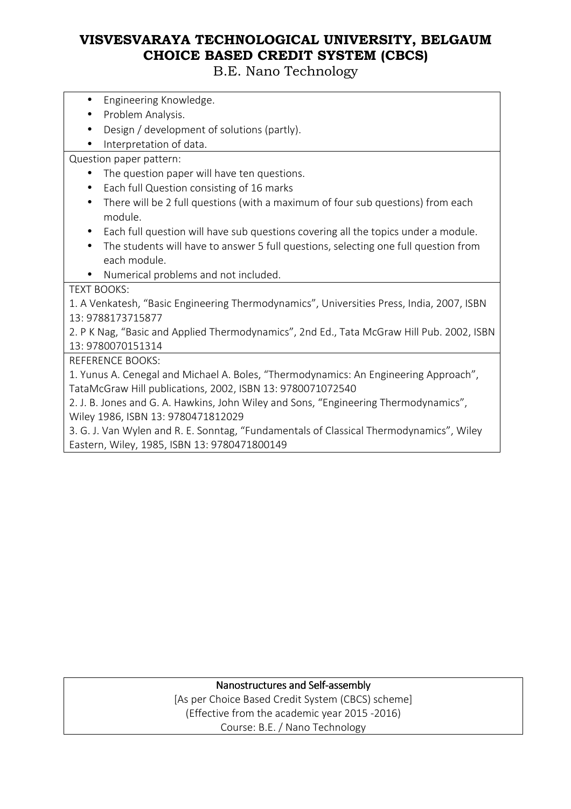B.E. Nano Technology

- Engineering Knowledge.
- Problem Analysis.
- Design / development of solutions (partly).
- Interpretation of data.

Question paper pattern:

- The question paper will have ten questions.
- Each full Question consisting of 16 marks
- There will be 2 full questions (with a maximum of four sub questions) from each module.
- Each full question will have sub questions covering all the topics under a module.
- The students will have to answer 5 full questions, selecting one full question from each module.
- Numerical problems and not included.

TEXT BOOKS:

1. A Venkatesh, "Basic Engineering Thermodynamics", Universities Press, India, 2007, ISBN 13: 9788173715877

2. P K Nag, "Basic and Applied Thermodynamics", 2nd Ed., Tata McGraw Hill Pub. 2002, ISBN 13: 9780070151314

REFERENCE BOOKS:

1. Yunus A. Cenegal and Michael A. Boles, "Thermodynamics: An Engineering Approach", TataMcGraw Hill publications, 2002, ISBN 13: 9780071072540

2. J. B. Jones and G. A. Hawkins, John Wiley and Sons, "Engineering Thermodynamics", Wiley 1986, ISBN 13: 9780471812029

3. G. J. Van Wylen and R. E. Sonntag, "Fundamentals of Classical Thermodynamics", Wiley Eastern, Wiley, 1985, ISBN 13: 9780471800149

#### Nanostructures and Self-assembly

[As per Choice Based Credit System (CBCS) scheme] (Effective from the academic year 2015 -2016) Course: B.E. / Nano Technology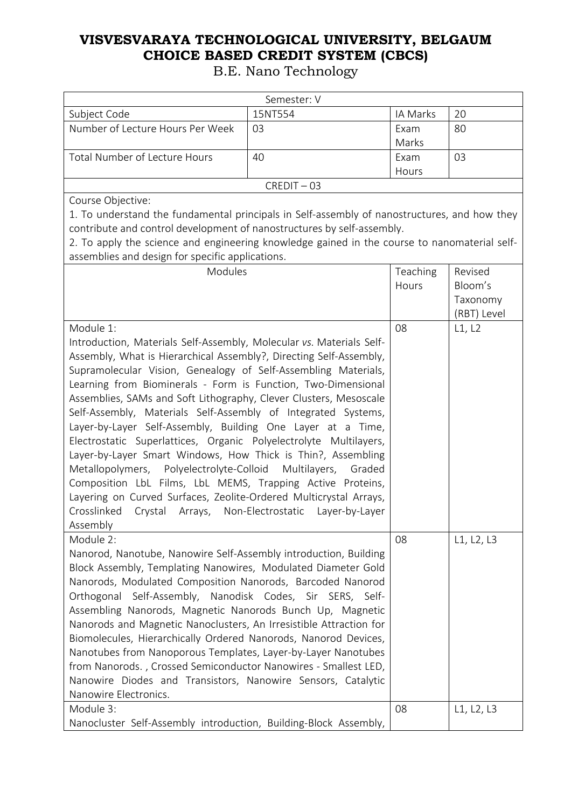|                                                                                                                                                                                                                                                                                                                                                                                                                                                                                                                                                                                                                                                                                                                                                                                                                                                                                                                        | Semester: V   |               |                                    |
|------------------------------------------------------------------------------------------------------------------------------------------------------------------------------------------------------------------------------------------------------------------------------------------------------------------------------------------------------------------------------------------------------------------------------------------------------------------------------------------------------------------------------------------------------------------------------------------------------------------------------------------------------------------------------------------------------------------------------------------------------------------------------------------------------------------------------------------------------------------------------------------------------------------------|---------------|---------------|------------------------------------|
| Subject Code                                                                                                                                                                                                                                                                                                                                                                                                                                                                                                                                                                                                                                                                                                                                                                                                                                                                                                           | 15NT554       | IA Marks      | 20                                 |
| Number of Lecture Hours Per Week                                                                                                                                                                                                                                                                                                                                                                                                                                                                                                                                                                                                                                                                                                                                                                                                                                                                                       | 03            | Exam<br>Marks | 80                                 |
| <b>Total Number of Lecture Hours</b>                                                                                                                                                                                                                                                                                                                                                                                                                                                                                                                                                                                                                                                                                                                                                                                                                                                                                   | 40            | Exam<br>Hours | 03                                 |
|                                                                                                                                                                                                                                                                                                                                                                                                                                                                                                                                                                                                                                                                                                                                                                                                                                                                                                                        | $CREDIT - 03$ |               |                                    |
| Course Objective:                                                                                                                                                                                                                                                                                                                                                                                                                                                                                                                                                                                                                                                                                                                                                                                                                                                                                                      |               |               |                                    |
| 1. To understand the fundamental principals in Self-assembly of nanostructures, and how they<br>contribute and control development of nanostructures by self-assembly.<br>2. To apply the science and engineering knowledge gained in the course to nanomaterial self-<br>assemblies and design for specific applications.                                                                                                                                                                                                                                                                                                                                                                                                                                                                                                                                                                                             |               |               |                                    |
| Modules                                                                                                                                                                                                                                                                                                                                                                                                                                                                                                                                                                                                                                                                                                                                                                                                                                                                                                                |               | Teaching      | Revised                            |
|                                                                                                                                                                                                                                                                                                                                                                                                                                                                                                                                                                                                                                                                                                                                                                                                                                                                                                                        |               | Hours         | Bloom's<br>Taxonomy<br>(RBT) Level |
| Module 1:                                                                                                                                                                                                                                                                                                                                                                                                                                                                                                                                                                                                                                                                                                                                                                                                                                                                                                              |               | 08            | L1, L2                             |
| Introduction, Materials Self-Assembly, Molecular vs. Materials Self-<br>Assembly, What is Hierarchical Assembly?, Directing Self-Assembly,<br>Supramolecular Vision, Genealogy of Self-Assembling Materials,<br>Learning from Biominerals - Form is Function, Two-Dimensional<br>Assemblies, SAMs and Soft Lithography, Clever Clusters, Mesoscale<br>Self-Assembly, Materials Self-Assembly of Integrated Systems,<br>Layer-by-Layer Self-Assembly, Building One Layer at a Time,<br>Electrostatic Superlattices, Organic Polyelectrolyte Multilayers,<br>Layer-by-Layer Smart Windows, How Thick is Thin?, Assembling<br>Metallopolymers, Polyelectrolyte-Colloid Multilayers, Graded<br>Composition LbL Films, LbL MEMS, Trapping Active Proteins,<br>Layering on Curved Surfaces, Zeolite-Ordered Multicrystal Arrays,<br>Crosslinked<br>Crystal Arrays, Non-Electrostatic Layer-by-Layer<br>Assembly<br>Module 2: |               |               |                                    |
| Nanorod, Nanotube, Nanowire Self-Assembly introduction, Building<br>Block Assembly, Templating Nanowires, Modulated Diameter Gold<br>Nanorods, Modulated Composition Nanorods, Barcoded Nanorod<br>Orthogonal Self-Assembly, Nanodisk Codes, Sir SERS, Self-<br>Assembling Nanorods, Magnetic Nanorods Bunch Up, Magnetic<br>Nanorods and Magnetic Nanoclusters, An Irresistible Attraction for<br>Biomolecules, Hierarchically Ordered Nanorods, Nanorod Devices,<br>Nanotubes from Nanoporous Templates, Layer-by-Layer Nanotubes<br>from Nanorods., Crossed Semiconductor Nanowires - Smallest LED,<br>Nanowire Diodes and Transistors, Nanowire Sensors, Catalytic<br>Nanowire Electronics.                                                                                                                                                                                                                        |               | 08            | L1, L2, L3                         |
| Module 3:<br>Nanocluster Self-Assembly introduction, Building-Block Assembly,                                                                                                                                                                                                                                                                                                                                                                                                                                                                                                                                                                                                                                                                                                                                                                                                                                          |               | 08            | L1, L2, L3                         |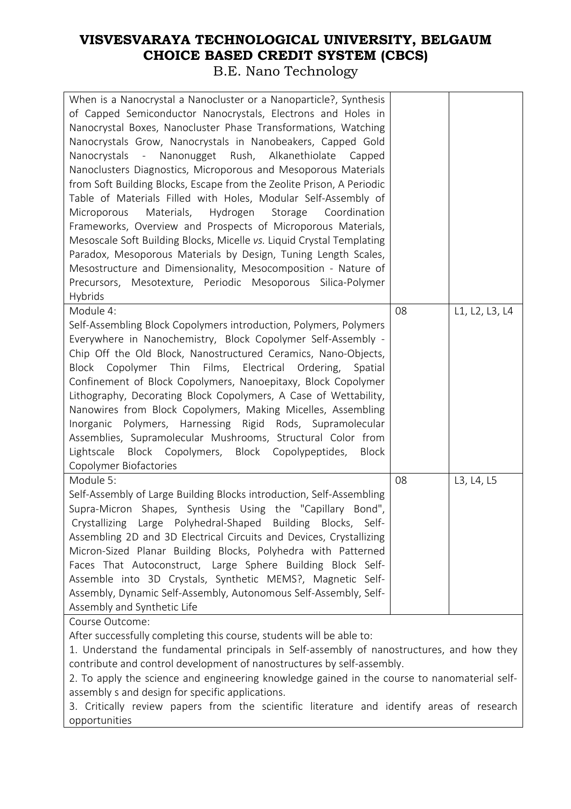#### **VISVESVARAYA TECHNOLOGICAL UNIVERSITY, BELGAUM CHOICE BASED CREDIT SYSTEM (CBCS)**  B.E. Nano Technology

| When is a Nanocrystal a Nanocluster or a Nanoparticle?, Synthesis<br>of Capped Semiconductor Nanocrystals, Electrons and Holes in<br>Nanocrystal Boxes, Nanocluster Phase Transformations, Watching<br>Nanocrystals Grow, Nanocrystals in Nanobeakers, Capped Gold<br>Nanocrystals - Nanonugget Rush, Alkanethiolate<br>Capped<br>Nanoclusters Diagnostics, Microporous and Mesoporous Materials<br>from Soft Building Blocks, Escape from the Zeolite Prison, A Periodic<br>Table of Materials Filled with Holes, Modular Self-Assembly of<br>Materials,<br>Hydrogen<br>Storage<br>Coordination<br>Microporous<br>Frameworks, Overview and Prospects of Microporous Materials,<br>Mesoscale Soft Building Blocks, Micelle vs. Liquid Crystal Templating<br>Paradox, Mesoporous Materials by Design, Tuning Length Scales,<br>Mesostructure and Dimensionality, Mesocomposition - Nature of<br>Precursors, Mesotexture, Periodic Mesoporous Silica-Polymer<br>Hybrids |    |                |
|-----------------------------------------------------------------------------------------------------------------------------------------------------------------------------------------------------------------------------------------------------------------------------------------------------------------------------------------------------------------------------------------------------------------------------------------------------------------------------------------------------------------------------------------------------------------------------------------------------------------------------------------------------------------------------------------------------------------------------------------------------------------------------------------------------------------------------------------------------------------------------------------------------------------------------------------------------------------------|----|----------------|
| Module 4:<br>Self-Assembling Block Copolymers introduction, Polymers, Polymers<br>Everywhere in Nanochemistry, Block Copolymer Self-Assembly -<br>Chip Off the Old Block, Nanostructured Ceramics, Nano-Objects,<br>Block Copolymer Thin Films, Electrical Ordering,<br>Spatial<br>Confinement of Block Copolymers, Nanoepitaxy, Block Copolymer<br>Lithography, Decorating Block Copolymers, A Case of Wettability,<br>Nanowires from Block Copolymers, Making Micelles, Assembling<br>Inorganic Polymers, Harnessing Rigid Rods, Supramolecular<br>Assemblies, Supramolecular Mushrooms, Structural Color from<br>Lightscale<br>Block Copolymers, Block Copolypeptides,<br><b>Block</b><br>Copolymer Biofactories                                                                                                                                                                                                                                                   | 08 | L1, L2, L3, L4 |
| Module 5:<br>Self-Assembly of Large Building Blocks introduction, Self-Assembling<br>Supra-Micron Shapes, Synthesis Using the "Capillary Bond",<br>Crystallizing Large Polyhedral-Shaped Building Blocks, Self-<br>Assembling 2D and 3D Electrical Circuits and Devices, Crystallizing<br>Micron-Sized Planar Building Blocks, Polyhedra with Patterned<br>Faces That Autoconstruct, Large Sphere Building Block Self-<br>Assemble into 3D Crystals, Synthetic MEMS?, Magnetic Self-<br>Assembly, Dynamic Self-Assembly, Autonomous Self-Assembly, Self-<br>Assembly and Synthetic Life                                                                                                                                                                                                                                                                                                                                                                               | 08 | L3, L4, L5     |
| Course Outcome:<br>After successfully completing this course, students will be able to:<br>1. Understand the fundamental principals in Self-assembly of nanostructures, and how they<br>contribute and control development of nanostructures by self-assembly.<br>2. To apply the science and engineering knowledge gained in the course to nanomaterial self-<br>assembly s and design for specific applications.<br>3. Critically review papers from the scientific literature and identify areas of research<br>opportunities                                                                                                                                                                                                                                                                                                                                                                                                                                      |    |                |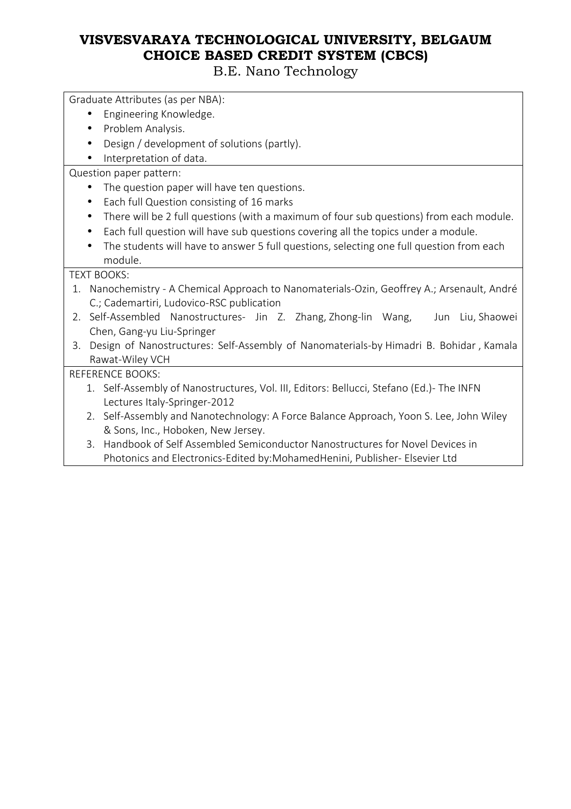B.E. Nano Technology

Graduate Attributes (as per NBA):

- Engineering Knowledge.
- Problem Analysis.
- Design / development of solutions (partly).
- Interpretation of data.

Question paper pattern:

- The question paper will have ten questions.
- Each full Question consisting of 16 marks
- There will be 2 full questions (with a maximum of four sub questions) from each module.
- Each full question will have sub questions covering all the topics under a module.
- The students will have to answer 5 full questions, selecting one full question from each module.

#### TEXT BOOKS:

- 1. Nanochemistry A Chemical Approach to Nanomaterials-Ozin, Geoffrey A.; Arsenault, André C.; Cademartiri, Ludovico-RSC publication
- 2. Self-Assembled Nanostructures- Jin Z. Zhang, Zhong-lin Wang, Jun Liu, Shaowei Chen, Gang-yu Liu-Springer
- 3. Design of Nanostructures: Self-Assembly of Nanomaterials-by Himadri B. Bohidar , Kamala Rawat-Wiley VCH

REFERENCE BOOKS:

- 1. Self-Assembly of Nanostructures, Vol. III, Editors: Bellucci, Stefano (Ed.)- The INFN Lectures Italy-Springer-2012
- 2. Self-Assembly and Nanotechnology: A Force Balance Approach, Yoon S. Lee, John Wiley & Sons, Inc., Hoboken, New Jersey.
- 3. Handbook of Self Assembled Semiconductor Nanostructures for Novel Devices in Photonics and Electronics-Edited by:MohamedHenini, Publisher- Elsevier Ltd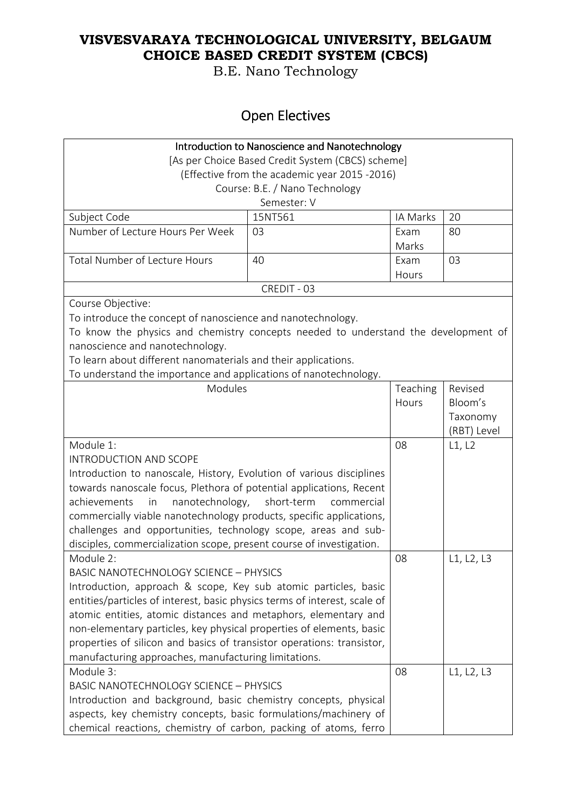B.E. Nano Technology

# Open Electives

| Introduction to Nanoscience and Nanotechnology                                     |                                |          |             |
|------------------------------------------------------------------------------------|--------------------------------|----------|-------------|
| [As per Choice Based Credit System (CBCS) scheme]                                  |                                |          |             |
| (Effective from the academic year 2015 -2016)                                      |                                |          |             |
|                                                                                    | Course: B.E. / Nano Technology |          |             |
|                                                                                    | Semester: V                    |          |             |
| Subject Code                                                                       | 15NT561                        | IA Marks | 20          |
| Number of Lecture Hours Per Week                                                   | 03                             | Exam     | 80          |
|                                                                                    |                                | Marks    |             |
| <b>Total Number of Lecture Hours</b>                                               | 40                             | Exam     | 03          |
|                                                                                    |                                | Hours    |             |
|                                                                                    | CREDIT - 03                    |          |             |
| Course Objective:                                                                  |                                |          |             |
| To introduce the concept of nanoscience and nanotechnology.                        |                                |          |             |
| To know the physics and chemistry concepts needed to understand the development of |                                |          |             |
| nanoscience and nanotechnology.                                                    |                                |          |             |
| To learn about different nanomaterials and their applications.                     |                                |          |             |
| To understand the importance and applications of nanotechnology.                   |                                |          |             |
| Modules                                                                            |                                | Teaching | Revised     |
|                                                                                    |                                | Hours    | Bloom's     |
|                                                                                    |                                |          | Taxonomy    |
|                                                                                    |                                |          | (RBT) Level |
| Module 1:                                                                          |                                | 08       | L1, L2      |
| <b>INTRODUCTION AND SCOPE</b>                                                      |                                |          |             |
| Introduction to nanoscale, History, Evolution of various disciplines               |                                |          |             |
| towards nanoscale focus, Plethora of potential applications, Recent                |                                |          |             |
| achievements<br>nanotechnology, short-term<br>in                                   | commercial                     |          |             |
| commercially viable nanotechnology products, specific applications,                |                                |          |             |
| challenges and opportunities, technology scope, areas and sub-                     |                                |          |             |
| disciples, commercialization scope, present course of investigation.               |                                |          |             |
| Module 2:                                                                          |                                | 08       | L1, L2, L3  |
| <b>BASIC NANOTECHNOLOGY SCIENCE - PHYSICS</b>                                      |                                |          |             |
| Introduction, approach & scope, Key sub atomic particles, basic                    |                                |          |             |
| entities/particles of interest, basic physics terms of interest, scale of          |                                |          |             |
| atomic entities, atomic distances and metaphors, elementary and                    |                                |          |             |
| non-elementary particles, key physical properties of elements, basic               |                                |          |             |
| properties of silicon and basics of transistor operations: transistor,             |                                |          |             |
| manufacturing approaches, manufacturing limitations.                               |                                |          |             |
| Module 3:                                                                          |                                | 08       | L1, L2, L3  |
| <b>BASIC NANOTECHNOLOGY SCIENCE - PHYSICS</b>                                      |                                |          |             |
| Introduction and background, basic chemistry concepts, physical                    |                                |          |             |
| aspects, key chemistry concepts, basic formulations/machinery of                   |                                |          |             |
| chemical reactions, chemistry of carbon, packing of atoms, ferro                   |                                |          |             |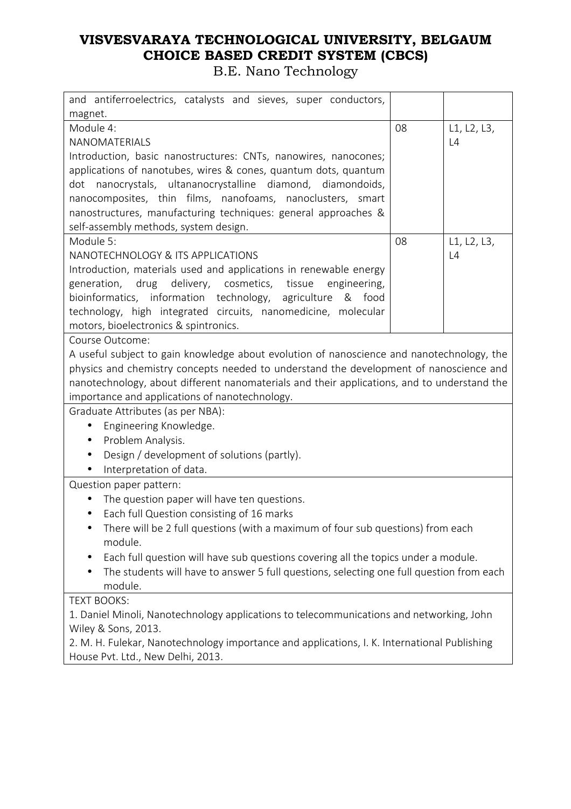| and antiferroelectrics, catalysts and sieves, super conductors,                                                                                                                                                                                                                                                                                                                                                             |    |                   |
|-----------------------------------------------------------------------------------------------------------------------------------------------------------------------------------------------------------------------------------------------------------------------------------------------------------------------------------------------------------------------------------------------------------------------------|----|-------------------|
| magnet.<br>Module 4:<br>NANOMATERIALS<br>Introduction, basic nanostructures: CNTs, nanowires, nanocones;<br>applications of nanotubes, wires & cones, quantum dots, quantum                                                                                                                                                                                                                                                 | 08 | L1, L2, L3,<br>L4 |
| dot nanocrystals, ultananocrystalline diamond, diamondoids,<br>nanocomposites, thin films, nanofoams, nanoclusters, smart<br>nanostructures, manufacturing techniques: general approaches &<br>self-assembly methods, system design.                                                                                                                                                                                        |    |                   |
| Module 5:<br>NANOTECHNOLOGY & ITS APPLICATIONS<br>Introduction, materials used and applications in renewable energy<br>generation, drug delivery, cosmetics, tissue<br>engineering,<br>bioinformatics, information technology, agriculture & food<br>technology, high integrated circuits, nanomedicine, molecular<br>motors, bioelectronics & spintronics.                                                                 | 08 | L1, L2, L3,<br>L4 |
| Course Outcome:<br>A useful subject to gain knowledge about evolution of nanoscience and nanotechnology, the<br>physics and chemistry concepts needed to understand the development of nanoscience and<br>nanotechnology, about different nanomaterials and their applications, and to understand the<br>importance and applications of nanotechnology.<br>Graduate Attributes (as per NBA):                                |    |                   |
| Engineering Knowledge.<br>Problem Analysis.<br>Design / development of solutions (partly).<br>$\bullet$<br>Interpretation of data.                                                                                                                                                                                                                                                                                          |    |                   |
| Question paper pattern:<br>The question paper will have ten questions.<br>Each full Question consisting of 16 marks<br>$\bullet$<br>There will be 2 full questions (with a maximum of four sub questions) from each<br>module.<br>Each full question will have sub questions covering all the topics under a module.<br>The students will have to answer 5 full questions, selecting one full question from each<br>module. |    |                   |
| <b>TEXT BOOKS:</b><br>1. Daniel Minoli, Nanotechnology applications to telecommunications and networking, John<br>Wiley & Sons, 2013.<br>2. M. H. Fulekar, Nanotechnology importance and applications, I. K. International Publishing<br>House Pvt. Ltd., New Delhi, 2013.                                                                                                                                                  |    |                   |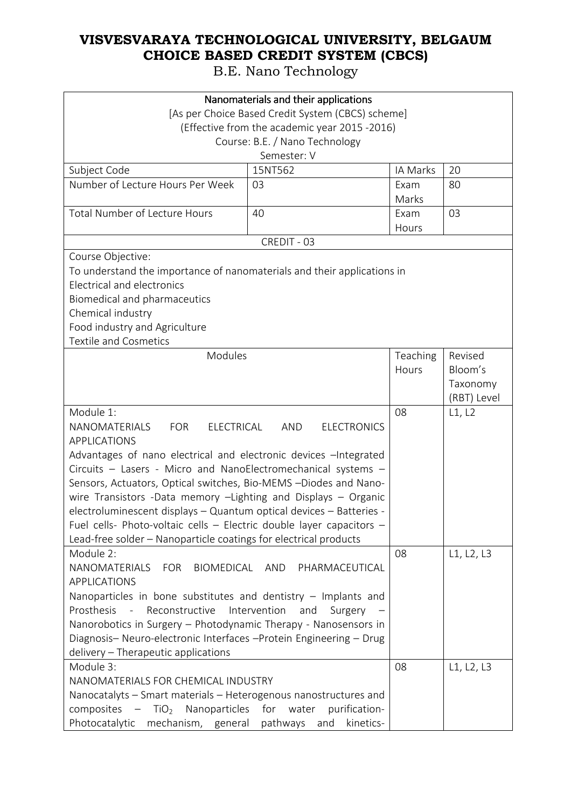| Nanomaterials and their applications                                                                                                                                                                                                                                                                                                                               |                                                   |               |                                    |
|--------------------------------------------------------------------------------------------------------------------------------------------------------------------------------------------------------------------------------------------------------------------------------------------------------------------------------------------------------------------|---------------------------------------------------|---------------|------------------------------------|
|                                                                                                                                                                                                                                                                                                                                                                    | [As per Choice Based Credit System (CBCS) scheme] |               |                                    |
|                                                                                                                                                                                                                                                                                                                                                                    | (Effective from the academic year 2015 -2016)     |               |                                    |
|                                                                                                                                                                                                                                                                                                                                                                    | Course: B.E. / Nano Technology                    |               |                                    |
|                                                                                                                                                                                                                                                                                                                                                                    | Semester: V                                       |               |                                    |
| Subject Code                                                                                                                                                                                                                                                                                                                                                       | 15NT562                                           | IA Marks      | 20                                 |
| Number of Lecture Hours Per Week                                                                                                                                                                                                                                                                                                                                   | 03                                                | Exam<br>Marks | 80                                 |
| <b>Total Number of Lecture Hours</b>                                                                                                                                                                                                                                                                                                                               | 40                                                | Exam<br>Hours | 03                                 |
|                                                                                                                                                                                                                                                                                                                                                                    | CREDIT - 03                                       |               |                                    |
| Course Objective:                                                                                                                                                                                                                                                                                                                                                  |                                                   |               |                                    |
| To understand the importance of nanomaterials and their applications in<br>Electrical and electronics<br>Biomedical and pharmaceutics<br>Chemical industry<br>Food industry and Agriculture<br><b>Textile and Cosmetics</b>                                                                                                                                        |                                                   |               |                                    |
| Modules                                                                                                                                                                                                                                                                                                                                                            |                                                   | Teaching      | Revised                            |
|                                                                                                                                                                                                                                                                                                                                                                    |                                                   | Hours         | Bloom's<br>Taxonomy<br>(RBT) Level |
| Module 1:                                                                                                                                                                                                                                                                                                                                                          |                                                   | 08            | L1, L2                             |
| NANOMATERIALS<br>ELECTRICAL<br>AND<br><b>ELECTRONICS</b><br>FOR<br><b>APPLICATIONS</b><br>Advantages of nano electrical and electronic devices - Integrated<br>Circuits - Lasers - Micro and NanoElectromechanical systems -<br>Sensors, Actuators, Optical switches, Bio-MEMS -Diodes and Nano-<br>wire Transistors -Data memory -Lighting and Displays - Organic |                                                   |               |                                    |
| electroluminescent displays - Quantum optical devices - Batteries -                                                                                                                                                                                                                                                                                                |                                                   |               |                                    |
| Fuel cells- Photo-voltaic cells - Electric double layer capacitors -<br>Lead-free solder - Nanoparticle coatings for electrical products                                                                                                                                                                                                                           |                                                   |               |                                    |
| Module 2:<br>NANOMATERIALS<br>BIOMEDICAL AND<br>FOR<br><b>APPLICATIONS</b>                                                                                                                                                                                                                                                                                         | PHARMACEUTICAL                                    | 08            | L1, L2, L3                         |
| Nanoparticles in bone substitutes and dentistry $-$ Implants and                                                                                                                                                                                                                                                                                                   |                                                   |               |                                    |
| Prosthesis - Reconstructive<br>Intervention<br>and<br>Surgery                                                                                                                                                                                                                                                                                                      |                                                   |               |                                    |
| Nanorobotics in Surgery - Photodynamic Therapy - Nanosensors in                                                                                                                                                                                                                                                                                                    |                                                   |               |                                    |
| Diagnosis- Neuro-electronic Interfaces -Protein Engineering - Drug                                                                                                                                                                                                                                                                                                 |                                                   |               |                                    |
| delivery - Therapeutic applications<br>Module 3:                                                                                                                                                                                                                                                                                                                   |                                                   | 08            | L1, L2, L3                         |
| NANOMATERIALS FOR CHEMICAL INDUSTRY                                                                                                                                                                                                                                                                                                                                |                                                   |               |                                    |
| Nanocatalyts - Smart materials - Heterogenous nanostructures and                                                                                                                                                                                                                                                                                                   |                                                   |               |                                    |
| composites -<br>TiO <sub>2</sub> Nanoparticles                                                                                                                                                                                                                                                                                                                     | for water<br>purification-                        |               |                                    |
| Photocatalytic<br>mechanism, general pathways and                                                                                                                                                                                                                                                                                                                  | kinetics-                                         |               |                                    |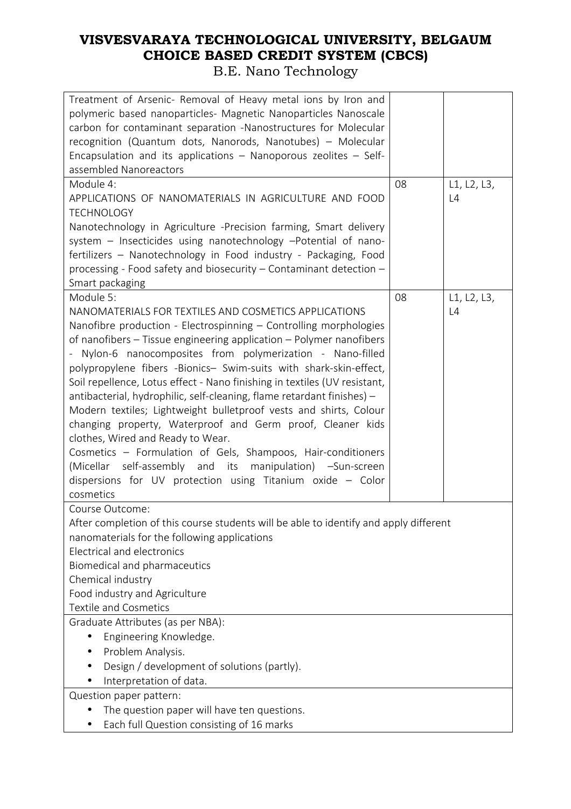| Treatment of Arsenic- Removal of Heavy metal ions by Iron and<br>polymeric based nanoparticles- Magnetic Nanoparticles Nanoscale<br>carbon for contaminant separation -Nanostructures for Molecular<br>recognition (Quantum dots, Nanorods, Nanotubes) - Molecular<br>Encapsulation and its applications - Nanoporous zeolites - Self-<br>assembled Nanoreactors<br>Module 4:<br>08<br>L1, L2, L3,<br>APPLICATIONS OF NANOMATERIALS IN AGRICULTURE AND FOOD<br>L4<br><b>TECHNOLOGY</b><br>Nanotechnology in Agriculture -Precision farming, Smart delivery<br>system - Insecticides using nanotechnology -Potential of nano-<br>fertilizers - Nanotechnology in Food industry - Packaging, Food<br>processing - Food safety and biosecurity – Contaminant detection –<br>Smart packaging<br>Module 5:<br>08<br>L1, L2, L3,<br>NANOMATERIALS FOR TEXTILES AND COSMETICS APPLICATIONS<br>L4<br>Nanofibre production - Electrospinning - Controlling morphologies<br>of nanofibers – Tissue engineering application – Polymer nanofibers<br>Nylon-6 nanocomposites from polymerization - Nano-filled<br>polypropylene fibers -Bionics- Swim-suits with shark-skin-effect,<br>Soil repellence, Lotus effect - Nano finishing in textiles (UV resistant,<br>antibacterial, hydrophilic, self-cleaning, flame retardant finishes) -<br>Modern textiles; Lightweight bulletproof vests and shirts, Colour<br>changing property, Waterproof and Germ proof, Cleaner kids<br>clothes, Wired and Ready to Wear.<br>Cosmetics - Formulation of Gels, Shampoos, Hair-conditioners<br>(Micellar self-assembly and its manipulation) -Sun-screen<br>dispersions for UV protection using Titanium oxide $-$ Color<br>cosmetics<br>Course Outcome:<br>After completion of this course students will be able to identify and apply different<br>nanomaterials for the following applications<br><b>Electrical and electronics</b> |
|------------------------------------------------------------------------------------------------------------------------------------------------------------------------------------------------------------------------------------------------------------------------------------------------------------------------------------------------------------------------------------------------------------------------------------------------------------------------------------------------------------------------------------------------------------------------------------------------------------------------------------------------------------------------------------------------------------------------------------------------------------------------------------------------------------------------------------------------------------------------------------------------------------------------------------------------------------------------------------------------------------------------------------------------------------------------------------------------------------------------------------------------------------------------------------------------------------------------------------------------------------------------------------------------------------------------------------------------------------------------------------------------------------------------------------------------------------------------------------------------------------------------------------------------------------------------------------------------------------------------------------------------------------------------------------------------------------------------------------------------------------------------------------------------------------------------------------------------------------------------------------------------------------------|
|                                                                                                                                                                                                                                                                                                                                                                                                                                                                                                                                                                                                                                                                                                                                                                                                                                                                                                                                                                                                                                                                                                                                                                                                                                                                                                                                                                                                                                                                                                                                                                                                                                                                                                                                                                                                                                                                                                                  |
|                                                                                                                                                                                                                                                                                                                                                                                                                                                                                                                                                                                                                                                                                                                                                                                                                                                                                                                                                                                                                                                                                                                                                                                                                                                                                                                                                                                                                                                                                                                                                                                                                                                                                                                                                                                                                                                                                                                  |
|                                                                                                                                                                                                                                                                                                                                                                                                                                                                                                                                                                                                                                                                                                                                                                                                                                                                                                                                                                                                                                                                                                                                                                                                                                                                                                                                                                                                                                                                                                                                                                                                                                                                                                                                                                                                                                                                                                                  |
|                                                                                                                                                                                                                                                                                                                                                                                                                                                                                                                                                                                                                                                                                                                                                                                                                                                                                                                                                                                                                                                                                                                                                                                                                                                                                                                                                                                                                                                                                                                                                                                                                                                                                                                                                                                                                                                                                                                  |
|                                                                                                                                                                                                                                                                                                                                                                                                                                                                                                                                                                                                                                                                                                                                                                                                                                                                                                                                                                                                                                                                                                                                                                                                                                                                                                                                                                                                                                                                                                                                                                                                                                                                                                                                                                                                                                                                                                                  |
|                                                                                                                                                                                                                                                                                                                                                                                                                                                                                                                                                                                                                                                                                                                                                                                                                                                                                                                                                                                                                                                                                                                                                                                                                                                                                                                                                                                                                                                                                                                                                                                                                                                                                                                                                                                                                                                                                                                  |
|                                                                                                                                                                                                                                                                                                                                                                                                                                                                                                                                                                                                                                                                                                                                                                                                                                                                                                                                                                                                                                                                                                                                                                                                                                                                                                                                                                                                                                                                                                                                                                                                                                                                                                                                                                                                                                                                                                                  |
|                                                                                                                                                                                                                                                                                                                                                                                                                                                                                                                                                                                                                                                                                                                                                                                                                                                                                                                                                                                                                                                                                                                                                                                                                                                                                                                                                                                                                                                                                                                                                                                                                                                                                                                                                                                                                                                                                                                  |
|                                                                                                                                                                                                                                                                                                                                                                                                                                                                                                                                                                                                                                                                                                                                                                                                                                                                                                                                                                                                                                                                                                                                                                                                                                                                                                                                                                                                                                                                                                                                                                                                                                                                                                                                                                                                                                                                                                                  |
|                                                                                                                                                                                                                                                                                                                                                                                                                                                                                                                                                                                                                                                                                                                                                                                                                                                                                                                                                                                                                                                                                                                                                                                                                                                                                                                                                                                                                                                                                                                                                                                                                                                                                                                                                                                                                                                                                                                  |
|                                                                                                                                                                                                                                                                                                                                                                                                                                                                                                                                                                                                                                                                                                                                                                                                                                                                                                                                                                                                                                                                                                                                                                                                                                                                                                                                                                                                                                                                                                                                                                                                                                                                                                                                                                                                                                                                                                                  |
|                                                                                                                                                                                                                                                                                                                                                                                                                                                                                                                                                                                                                                                                                                                                                                                                                                                                                                                                                                                                                                                                                                                                                                                                                                                                                                                                                                                                                                                                                                                                                                                                                                                                                                                                                                                                                                                                                                                  |
|                                                                                                                                                                                                                                                                                                                                                                                                                                                                                                                                                                                                                                                                                                                                                                                                                                                                                                                                                                                                                                                                                                                                                                                                                                                                                                                                                                                                                                                                                                                                                                                                                                                                                                                                                                                                                                                                                                                  |
|                                                                                                                                                                                                                                                                                                                                                                                                                                                                                                                                                                                                                                                                                                                                                                                                                                                                                                                                                                                                                                                                                                                                                                                                                                                                                                                                                                                                                                                                                                                                                                                                                                                                                                                                                                                                                                                                                                                  |
|                                                                                                                                                                                                                                                                                                                                                                                                                                                                                                                                                                                                                                                                                                                                                                                                                                                                                                                                                                                                                                                                                                                                                                                                                                                                                                                                                                                                                                                                                                                                                                                                                                                                                                                                                                                                                                                                                                                  |
|                                                                                                                                                                                                                                                                                                                                                                                                                                                                                                                                                                                                                                                                                                                                                                                                                                                                                                                                                                                                                                                                                                                                                                                                                                                                                                                                                                                                                                                                                                                                                                                                                                                                                                                                                                                                                                                                                                                  |
|                                                                                                                                                                                                                                                                                                                                                                                                                                                                                                                                                                                                                                                                                                                                                                                                                                                                                                                                                                                                                                                                                                                                                                                                                                                                                                                                                                                                                                                                                                                                                                                                                                                                                                                                                                                                                                                                                                                  |
|                                                                                                                                                                                                                                                                                                                                                                                                                                                                                                                                                                                                                                                                                                                                                                                                                                                                                                                                                                                                                                                                                                                                                                                                                                                                                                                                                                                                                                                                                                                                                                                                                                                                                                                                                                                                                                                                                                                  |
|                                                                                                                                                                                                                                                                                                                                                                                                                                                                                                                                                                                                                                                                                                                                                                                                                                                                                                                                                                                                                                                                                                                                                                                                                                                                                                                                                                                                                                                                                                                                                                                                                                                                                                                                                                                                                                                                                                                  |
|                                                                                                                                                                                                                                                                                                                                                                                                                                                                                                                                                                                                                                                                                                                                                                                                                                                                                                                                                                                                                                                                                                                                                                                                                                                                                                                                                                                                                                                                                                                                                                                                                                                                                                                                                                                                                                                                                                                  |
|                                                                                                                                                                                                                                                                                                                                                                                                                                                                                                                                                                                                                                                                                                                                                                                                                                                                                                                                                                                                                                                                                                                                                                                                                                                                                                                                                                                                                                                                                                                                                                                                                                                                                                                                                                                                                                                                                                                  |
|                                                                                                                                                                                                                                                                                                                                                                                                                                                                                                                                                                                                                                                                                                                                                                                                                                                                                                                                                                                                                                                                                                                                                                                                                                                                                                                                                                                                                                                                                                                                                                                                                                                                                                                                                                                                                                                                                                                  |
|                                                                                                                                                                                                                                                                                                                                                                                                                                                                                                                                                                                                                                                                                                                                                                                                                                                                                                                                                                                                                                                                                                                                                                                                                                                                                                                                                                                                                                                                                                                                                                                                                                                                                                                                                                                                                                                                                                                  |
|                                                                                                                                                                                                                                                                                                                                                                                                                                                                                                                                                                                                                                                                                                                                                                                                                                                                                                                                                                                                                                                                                                                                                                                                                                                                                                                                                                                                                                                                                                                                                                                                                                                                                                                                                                                                                                                                                                                  |
|                                                                                                                                                                                                                                                                                                                                                                                                                                                                                                                                                                                                                                                                                                                                                                                                                                                                                                                                                                                                                                                                                                                                                                                                                                                                                                                                                                                                                                                                                                                                                                                                                                                                                                                                                                                                                                                                                                                  |
|                                                                                                                                                                                                                                                                                                                                                                                                                                                                                                                                                                                                                                                                                                                                                                                                                                                                                                                                                                                                                                                                                                                                                                                                                                                                                                                                                                                                                                                                                                                                                                                                                                                                                                                                                                                                                                                                                                                  |
|                                                                                                                                                                                                                                                                                                                                                                                                                                                                                                                                                                                                                                                                                                                                                                                                                                                                                                                                                                                                                                                                                                                                                                                                                                                                                                                                                                                                                                                                                                                                                                                                                                                                                                                                                                                                                                                                                                                  |
|                                                                                                                                                                                                                                                                                                                                                                                                                                                                                                                                                                                                                                                                                                                                                                                                                                                                                                                                                                                                                                                                                                                                                                                                                                                                                                                                                                                                                                                                                                                                                                                                                                                                                                                                                                                                                                                                                                                  |
|                                                                                                                                                                                                                                                                                                                                                                                                                                                                                                                                                                                                                                                                                                                                                                                                                                                                                                                                                                                                                                                                                                                                                                                                                                                                                                                                                                                                                                                                                                                                                                                                                                                                                                                                                                                                                                                                                                                  |
|                                                                                                                                                                                                                                                                                                                                                                                                                                                                                                                                                                                                                                                                                                                                                                                                                                                                                                                                                                                                                                                                                                                                                                                                                                                                                                                                                                                                                                                                                                                                                                                                                                                                                                                                                                                                                                                                                                                  |
|                                                                                                                                                                                                                                                                                                                                                                                                                                                                                                                                                                                                                                                                                                                                                                                                                                                                                                                                                                                                                                                                                                                                                                                                                                                                                                                                                                                                                                                                                                                                                                                                                                                                                                                                                                                                                                                                                                                  |
|                                                                                                                                                                                                                                                                                                                                                                                                                                                                                                                                                                                                                                                                                                                                                                                                                                                                                                                                                                                                                                                                                                                                                                                                                                                                                                                                                                                                                                                                                                                                                                                                                                                                                                                                                                                                                                                                                                                  |
|                                                                                                                                                                                                                                                                                                                                                                                                                                                                                                                                                                                                                                                                                                                                                                                                                                                                                                                                                                                                                                                                                                                                                                                                                                                                                                                                                                                                                                                                                                                                                                                                                                                                                                                                                                                                                                                                                                                  |
| Biomedical and pharmaceutics                                                                                                                                                                                                                                                                                                                                                                                                                                                                                                                                                                                                                                                                                                                                                                                                                                                                                                                                                                                                                                                                                                                                                                                                                                                                                                                                                                                                                                                                                                                                                                                                                                                                                                                                                                                                                                                                                     |
| Chemical industry                                                                                                                                                                                                                                                                                                                                                                                                                                                                                                                                                                                                                                                                                                                                                                                                                                                                                                                                                                                                                                                                                                                                                                                                                                                                                                                                                                                                                                                                                                                                                                                                                                                                                                                                                                                                                                                                                                |
| Food industry and Agriculture                                                                                                                                                                                                                                                                                                                                                                                                                                                                                                                                                                                                                                                                                                                                                                                                                                                                                                                                                                                                                                                                                                                                                                                                                                                                                                                                                                                                                                                                                                                                                                                                                                                                                                                                                                                                                                                                                    |
| <b>Textile and Cosmetics</b>                                                                                                                                                                                                                                                                                                                                                                                                                                                                                                                                                                                                                                                                                                                                                                                                                                                                                                                                                                                                                                                                                                                                                                                                                                                                                                                                                                                                                                                                                                                                                                                                                                                                                                                                                                                                                                                                                     |
| Graduate Attributes (as per NBA):                                                                                                                                                                                                                                                                                                                                                                                                                                                                                                                                                                                                                                                                                                                                                                                                                                                                                                                                                                                                                                                                                                                                                                                                                                                                                                                                                                                                                                                                                                                                                                                                                                                                                                                                                                                                                                                                                |
| Engineering Knowledge.                                                                                                                                                                                                                                                                                                                                                                                                                                                                                                                                                                                                                                                                                                                                                                                                                                                                                                                                                                                                                                                                                                                                                                                                                                                                                                                                                                                                                                                                                                                                                                                                                                                                                                                                                                                                                                                                                           |
| Problem Analysis.                                                                                                                                                                                                                                                                                                                                                                                                                                                                                                                                                                                                                                                                                                                                                                                                                                                                                                                                                                                                                                                                                                                                                                                                                                                                                                                                                                                                                                                                                                                                                                                                                                                                                                                                                                                                                                                                                                |
| Design / development of solutions (partly).                                                                                                                                                                                                                                                                                                                                                                                                                                                                                                                                                                                                                                                                                                                                                                                                                                                                                                                                                                                                                                                                                                                                                                                                                                                                                                                                                                                                                                                                                                                                                                                                                                                                                                                                                                                                                                                                      |
| Interpretation of data.<br>$\bullet$                                                                                                                                                                                                                                                                                                                                                                                                                                                                                                                                                                                                                                                                                                                                                                                                                                                                                                                                                                                                                                                                                                                                                                                                                                                                                                                                                                                                                                                                                                                                                                                                                                                                                                                                                                                                                                                                             |
| Question paper pattern:                                                                                                                                                                                                                                                                                                                                                                                                                                                                                                                                                                                                                                                                                                                                                                                                                                                                                                                                                                                                                                                                                                                                                                                                                                                                                                                                                                                                                                                                                                                                                                                                                                                                                                                                                                                                                                                                                          |
|                                                                                                                                                                                                                                                                                                                                                                                                                                                                                                                                                                                                                                                                                                                                                                                                                                                                                                                                                                                                                                                                                                                                                                                                                                                                                                                                                                                                                                                                                                                                                                                                                                                                                                                                                                                                                                                                                                                  |
| The question paper will have ten questions.                                                                                                                                                                                                                                                                                                                                                                                                                                                                                                                                                                                                                                                                                                                                                                                                                                                                                                                                                                                                                                                                                                                                                                                                                                                                                                                                                                                                                                                                                                                                                                                                                                                                                                                                                                                                                                                                      |
| Each full Question consisting of 16 marks                                                                                                                                                                                                                                                                                                                                                                                                                                                                                                                                                                                                                                                                                                                                                                                                                                                                                                                                                                                                                                                                                                                                                                                                                                                                                                                                                                                                                                                                                                                                                                                                                                                                                                                                                                                                                                                                        |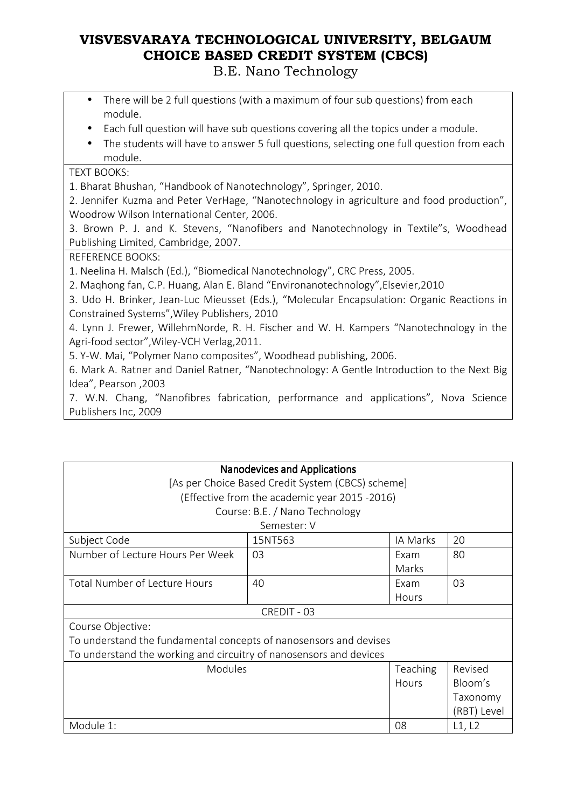B.E. Nano Technology

- There will be 2 full questions (with a maximum of four sub questions) from each module.
- Each full question will have sub questions covering all the topics under a module.
- The students will have to answer 5 full questions, selecting one full question from each module.

#### TEXT BOOKS:

1. Bharat Bhushan, "Handbook of Nanotechnology", Springer, 2010.

2. Jennifer Kuzma and Peter VerHage, "Nanotechnology in agriculture and food production", Woodrow Wilson International Center, 2006.

3. Brown P. J. and K. Stevens, "Nanofibers and Nanotechnology in Textile"s, Woodhead Publishing Limited, Cambridge, 2007.

#### REFERENCE BOOKS:

1. Neelina H. Malsch (Ed.), "Biomedical Nanotechnology", CRC Press, 2005.

2. Maqhong fan, C.P. Huang, Alan E. Bland "Environanotechnology",Elsevier,2010

3. Udo H. Brinker, Jean-Luc Mieusset (Eds.), "Molecular Encapsulation: Organic Reactions in Constrained Systems",Wiley Publishers, 2010

4. Lynn J. Frewer, WillehmNorde, R. H. Fischer and W. H. Kampers "Nanotechnology in the Agri-food sector",Wiley-VCH Verlag,2011.

5. Y-W. Mai, "Polymer Nano composites", Woodhead publishing, 2006.

6. Mark A. Ratner and Daniel Ratner, "Nanotechnology: A Gentle Introduction to the Next Big Idea", Pearson ,2003

7. W.N. Chang, "Nanofibres fabrication, performance and applications", Nova Science Publishers Inc, 2009

| <b>Nanodevices and Applications</b>                                |                                                   |          |             |  |  |
|--------------------------------------------------------------------|---------------------------------------------------|----------|-------------|--|--|
|                                                                    | [As per Choice Based Credit System (CBCS) scheme] |          |             |  |  |
|                                                                    | (Effective from the academic year 2015 -2016)     |          |             |  |  |
|                                                                    | Course: B.E. / Nano Technology                    |          |             |  |  |
|                                                                    | Semester: V                                       |          |             |  |  |
| Subject Code                                                       | 15NT563                                           | IA Marks | 20          |  |  |
| Number of Lecture Hours Per Week                                   | 03                                                | Exam     | 80          |  |  |
|                                                                    |                                                   | Marks    |             |  |  |
| <b>Total Number of Lecture Hours</b>                               | 40                                                | Exam     | 03          |  |  |
|                                                                    |                                                   | Hours    |             |  |  |
|                                                                    | CREDIT - 03                                       |          |             |  |  |
| Course Objective:                                                  |                                                   |          |             |  |  |
| To understand the fundamental concepts of nanosensors and devises  |                                                   |          |             |  |  |
| To understand the working and circuitry of nanosensors and devices |                                                   |          |             |  |  |
| <b>Modules</b><br>Teaching                                         |                                                   |          | Revised     |  |  |
|                                                                    |                                                   | Hours    | Bloom's     |  |  |
|                                                                    |                                                   |          | Taxonomy    |  |  |
|                                                                    |                                                   |          | (RBT) Level |  |  |
| Module 1:                                                          | L1, L2<br>08                                      |          |             |  |  |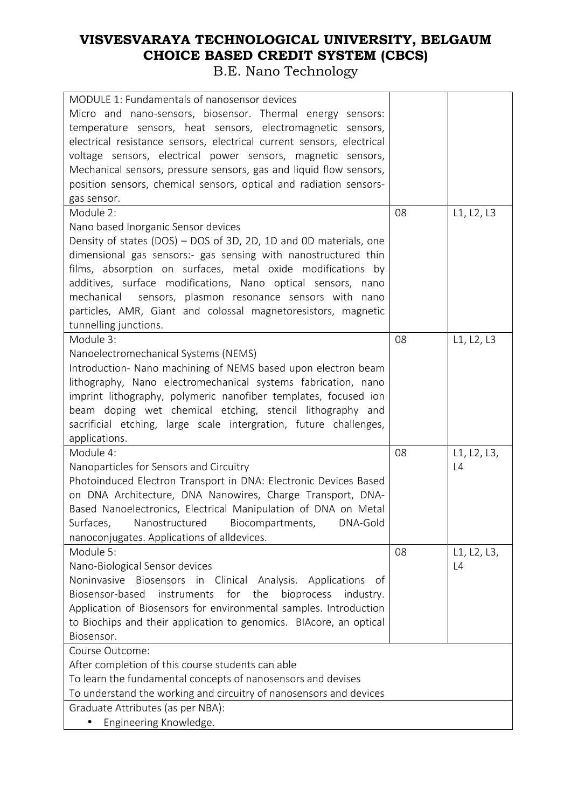| MODULE 1: Fundamentals of nanosensor devices                            |    |             |
|-------------------------------------------------------------------------|----|-------------|
| Micro and nano-sensors, biosensor. Thermal energy sensors:              |    |             |
| temperature sensors, heat sensors, electromagnetic sensors,             |    |             |
| electrical resistance sensors, electrical current sensors, electrical   |    |             |
| voltage sensors, electrical power sensors, magnetic sensors,            |    |             |
| Mechanical sensors, pressure sensors, gas and liquid flow sensors,      |    |             |
| position sensors, chemical sensors, optical and radiation sensors-      |    |             |
| gas sensor.                                                             |    |             |
| Module 2:                                                               | 08 | L1, L2, L3  |
| Nano based Inorganic Sensor devices                                     |    |             |
| Density of states (DOS) - DOS of 3D, 2D, 1D and 0D materials, one       |    |             |
| dimensional gas sensors:- gas sensing with nanostructured thin          |    |             |
| films, absorption on surfaces, metal oxide modifications by             |    |             |
| additives, surface modifications, Nano optical sensors, nano            |    |             |
| mechanical sensors, plasmon resonance sensors with nano                 |    |             |
| particles, AMR, Giant and colossal magnetoresistors, magnetic           |    |             |
| tunnelling junctions.                                                   |    |             |
| Module 3:                                                               | 08 | L1, L2, L3  |
| Nanoelectromechanical Systems (NEMS)                                    |    |             |
| Introduction- Nano machining of NEMS based upon electron beam           |    |             |
| lithography, Nano electromechanical systems fabrication, nano           |    |             |
|                                                                         |    |             |
| imprint lithography, polymeric nanofiber templates, focused ion         |    |             |
| beam doping wet chemical etching, stencil lithography and               |    |             |
| sacrificial etching, large scale intergration, future challenges,       |    |             |
| applications.                                                           |    |             |
| Module 4:                                                               | 08 | L1, L2, L3, |
| Nanoparticles for Sensors and Circuitry                                 |    | L4          |
| Photoinduced Electron Transport in DNA: Electronic Devices Based        |    |             |
| on DNA Architecture, DNA Nanowires, Charge Transport, DNA-              |    |             |
| Based Nanoelectronics, Electrical Manipulation of DNA on Metal          |    |             |
| Nanostructured Biocompartments,<br>DNA-Gold<br>Surfaces,                |    |             |
| nanoconjugates. Applications of alldevices.                             |    |             |
| Module 5:                                                               | 08 | L1, L2, L3, |
| Nano-Biological Sensor devices                                          |    | L4          |
| Noninvasive<br>Biosensors in Clinical Analysis. Applications<br>of      |    |             |
| Biosensor-based<br>for<br>instruments<br>the<br>bioprocess<br>industry. |    |             |
| Application of Biosensors for environmental samples. Introduction       |    |             |
| to Biochips and their application to genomics. BIAcore, an optical      |    |             |
| Biosensor.                                                              |    |             |
| Course Outcome:                                                         |    |             |
| After completion of this course students can able                       |    |             |
| To learn the fundamental concepts of nanosensors and devises            |    |             |
| To understand the working and circuitry of nanosensors and devices      |    |             |
|                                                                         |    |             |
|                                                                         |    |             |
| Graduate Attributes (as per NBA):<br>Engineering Knowledge.             |    |             |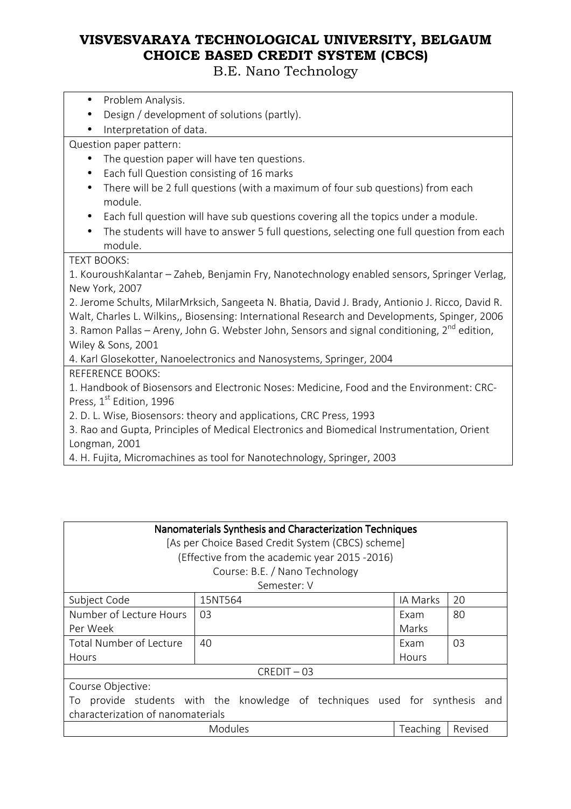B.E. Nano Technology

- Problem Analysis.
- Design / development of solutions (partly).
- Interpretation of data.

Question paper pattern:

- The question paper will have ten questions.
- Each full Question consisting of 16 marks
- There will be 2 full questions (with a maximum of four sub questions) from each module.
- Each full question will have sub questions covering all the topics under a module.
- The students will have to answer 5 full questions, selecting one full question from each module.

TEXT BOOKS:

1. KouroushKalantar – Zaheb, Benjamin Fry, Nanotechnology enabled sensors, Springer Verlag, New York, 2007

2. Jerome Schults, MilarMrksich, Sangeeta N. Bhatia, David J. Brady, Antionio J. Ricco, David R. Walt, Charles L. Wilkins,, Biosensing: International Research and Developments, Spinger, 2006 3. Ramon Pallas – Areny, John G. Webster John, Sensors and signal conditioning,  $2^{nd}$  edition, Wiley & Sons, 2001

4. Karl Glosekotter, Nanoelectronics and Nanosystems, Springer, 2004

REFERENCE BOOKS:

1. Handbook of Biosensors and Electronic Noses: Medicine, Food and the Environment: CRC-Press, 1<sup>st</sup> Edition, 1996

2. D. L. Wise, Biosensors: theory and applications, CRC Press, 1993

3. Rao and Gupta, Principles of Medical Electronics and Biomedical Instrumentation, Orient Longman, 2001

4. H. Fujita, Micromachines as tool for Nanotechnology, Springer, 2003

| Nanomaterials Synthesis and Characterization Techniques<br>[As per Choice Based Credit System (CBCS) scheme]<br>(Effective from the academic year 2015 -2016)<br>Course: B.E. / Nano Technology |             |          |    |  |
|-------------------------------------------------------------------------------------------------------------------------------------------------------------------------------------------------|-------------|----------|----|--|
|                                                                                                                                                                                                 | Semester: V |          |    |  |
| Subject Code                                                                                                                                                                                    | 15NT564     | IA Marks | 20 |  |
| Number of Lecture Hours                                                                                                                                                                         | 03          | Exam     | 80 |  |
| Per Week                                                                                                                                                                                        |             | Marks    |    |  |
| Total Number of Lecture                                                                                                                                                                         | 40          | Exam     | 03 |  |
| Hours                                                                                                                                                                                           |             | Hours    |    |  |
| $CREDIT - 03$                                                                                                                                                                                   |             |          |    |  |
| Course Objective:                                                                                                                                                                               |             |          |    |  |
| provide students with the knowledge of techniques used for synthesis<br>To<br>and                                                                                                               |             |          |    |  |
| characterization of nanomaterials                                                                                                                                                               |             |          |    |  |
| Teaching<br>Modules<br>Revised                                                                                                                                                                  |             |          |    |  |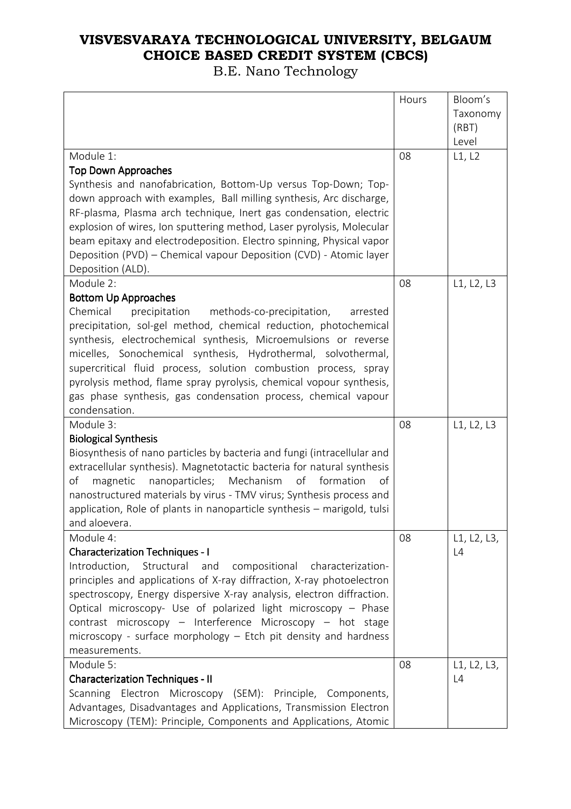|                                                                                                                                                                                                                                                                                                                                                                                                                                                                                                                                                     | Hours | Bloom's<br>Taxonomy<br>(RBT)<br>Level |
|-----------------------------------------------------------------------------------------------------------------------------------------------------------------------------------------------------------------------------------------------------------------------------------------------------------------------------------------------------------------------------------------------------------------------------------------------------------------------------------------------------------------------------------------------------|-------|---------------------------------------|
| Module 1:<br><b>Top Down Approaches</b>                                                                                                                                                                                                                                                                                                                                                                                                                                                                                                             | 08    | L1, L2                                |
| Synthesis and nanofabrication, Bottom-Up versus Top-Down; Top-<br>down approach with examples, Ball milling synthesis, Arc discharge,<br>RF-plasma, Plasma arch technique, Inert gas condensation, electric<br>explosion of wires, Ion sputtering method, Laser pyrolysis, Molecular<br>beam epitaxy and electrodeposition. Electro spinning, Physical vapor<br>Deposition (PVD) - Chemical vapour Deposition (CVD) - Atomic layer<br>Deposition (ALD).                                                                                             |       |                                       |
| Module 2:<br><b>Bottom Up Approaches</b><br>Chemical<br>precipitation<br>methods-co-precipitation,<br>arrested<br>precipitation, sol-gel method, chemical reduction, photochemical<br>synthesis, electrochemical synthesis, Microemulsions or reverse<br>micelles, Sonochemical synthesis, Hydrothermal, solvothermal,<br>supercritical fluid process, solution combustion process, spray<br>pyrolysis method, flame spray pyrolysis, chemical vopour synthesis,<br>gas phase synthesis, gas condensation process, chemical vapour<br>condensation. | 08    | L1, L2, L3                            |
| Module 3:<br><b>Biological Synthesis</b><br>Biosynthesis of nano particles by bacteria and fungi (intracellular and<br>extracellular synthesis). Magnetotactic bacteria for natural synthesis<br>of<br>magnetic<br>nanoparticles;<br>Mechanism<br>of<br>formation<br>of<br>nanostructured materials by virus - TMV virus; Synthesis process and<br>application, Role of plants in nanoparticle synthesis - marigold, tulsi<br>and aloevera.                                                                                                         | 08    | L1, L2, L3                            |
| Module 4:<br><b>Characterization Techniques - I</b><br>Introduction, Structural and compositional characterization-<br>principles and applications of X-ray diffraction, X-ray photoelectron<br>spectroscopy, Energy dispersive X-ray analysis, electron diffraction.<br>Optical microscopy- Use of polarized light microscopy - Phase<br>contrast microscopy - Interference Microscopy - hot stage<br>microscopy - surface morphology $-$ Etch pit density and hardness<br>measurements.                                                           | 08    | L1, L2, L3,<br>L4                     |
| Module 5:<br><b>Characterization Techniques - II</b><br>Scanning Electron Microscopy (SEM): Principle, Components,<br>Advantages, Disadvantages and Applications, Transmission Electron<br>Microscopy (TEM): Principle, Components and Applications, Atomic                                                                                                                                                                                                                                                                                         | 08    | L1, L2, L3,<br>L4                     |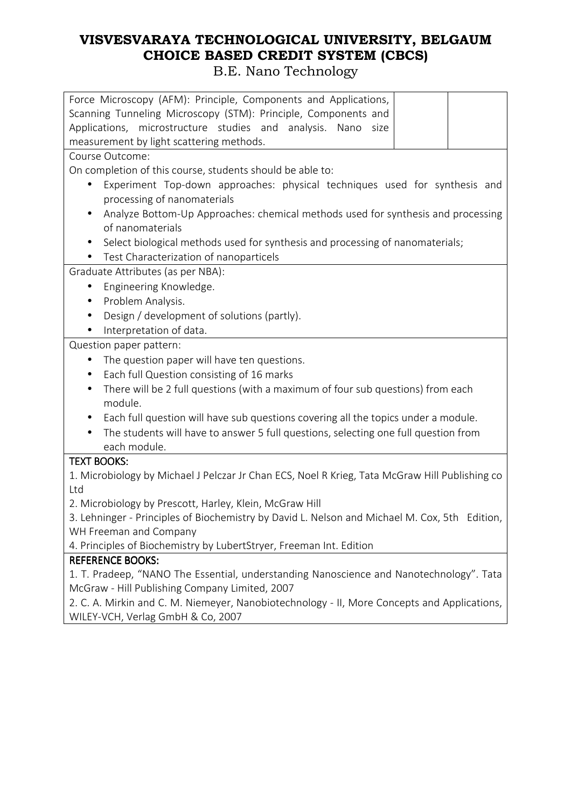| Force Microscopy (AFM): Principle, Components and Applications,                                  |  |  |  |  |  |
|--------------------------------------------------------------------------------------------------|--|--|--|--|--|
| Scanning Tunneling Microscopy (STM): Principle, Components and                                   |  |  |  |  |  |
| Applications, microstructure studies and analysis. Nano size                                     |  |  |  |  |  |
| measurement by light scattering methods.                                                         |  |  |  |  |  |
| Course Outcome:                                                                                  |  |  |  |  |  |
| On completion of this course, students should be able to:                                        |  |  |  |  |  |
| Experiment Top-down approaches: physical techniques used for synthesis and<br>$\bullet$          |  |  |  |  |  |
| processing of nanomaterials                                                                      |  |  |  |  |  |
| Analyze Bottom-Up Approaches: chemical methods used for synthesis and processing<br>$\bullet$    |  |  |  |  |  |
| of nanomaterials                                                                                 |  |  |  |  |  |
| Select biological methods used for synthesis and processing of nanomaterials;<br>$\bullet$       |  |  |  |  |  |
| Test Characterization of nanoparticels                                                           |  |  |  |  |  |
| Graduate Attributes (as per NBA):                                                                |  |  |  |  |  |
| Engineering Knowledge.<br>٠                                                                      |  |  |  |  |  |
| Problem Analysis.<br>$\bullet$                                                                   |  |  |  |  |  |
| Design / development of solutions (partly).<br>$\bullet$                                         |  |  |  |  |  |
| Interpretation of data.                                                                          |  |  |  |  |  |
| Question paper pattern:                                                                          |  |  |  |  |  |
| The question paper will have ten questions.<br>$\bullet$                                         |  |  |  |  |  |
| Each full Question consisting of 16 marks<br>$\bullet$                                           |  |  |  |  |  |
| There will be 2 full questions (with a maximum of four sub questions) from each<br>$\bullet$     |  |  |  |  |  |
| module.                                                                                          |  |  |  |  |  |
| Each full question will have sub questions covering all the topics under a module.               |  |  |  |  |  |
| The students will have to answer 5 full questions, selecting one full question from<br>$\bullet$ |  |  |  |  |  |
| each module.                                                                                     |  |  |  |  |  |
| <b>TEXT BOOKS:</b>                                                                               |  |  |  |  |  |
| 1. Microbiology by Michael J Pelczar Jr Chan ECS, Noel R Krieg, Tata McGraw Hill Publishing co   |  |  |  |  |  |
| Ltd                                                                                              |  |  |  |  |  |
| 2. Microbiology by Prescott, Harley, Klein, McGraw Hill                                          |  |  |  |  |  |
| 3. Lehninger - Principles of Biochemistry by David L. Nelson and Michael M. Cox, 5th Edition,    |  |  |  |  |  |
| WH Freeman and Company                                                                           |  |  |  |  |  |
| 4. Principles of Biochemistry by LubertStryer, Freeman Int. Edition                              |  |  |  |  |  |
| <b>REFERENCE BOOKS:</b>                                                                          |  |  |  |  |  |
| 1. T. Pradeep, "NANO The Essential, understanding Nanoscience and Nanotechnology". Tata          |  |  |  |  |  |
| McGraw - Hill Publishing Company Limited, 2007                                                   |  |  |  |  |  |
| 2. C. A. Mirkin and C. M. Niemeyer, Nanobiotechnology - II, More Concepts and Applications,      |  |  |  |  |  |
| WILEY-VCH, Verlag GmbH & Co, 2007                                                                |  |  |  |  |  |
|                                                                                                  |  |  |  |  |  |
|                                                                                                  |  |  |  |  |  |
|                                                                                                  |  |  |  |  |  |
|                                                                                                  |  |  |  |  |  |
|                                                                                                  |  |  |  |  |  |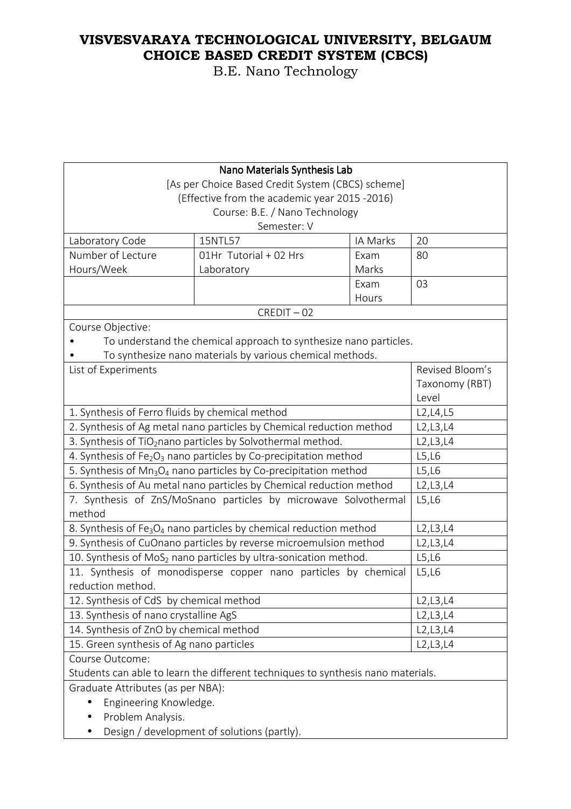| Nano Materials Synthesis Lab                                                                                                                                     |                                                                              |          |                 |  |  |
|------------------------------------------------------------------------------------------------------------------------------------------------------------------|------------------------------------------------------------------------------|----------|-----------------|--|--|
| [As per Choice Based Credit System (CBCS) scheme]                                                                                                                |                                                                              |          |                 |  |  |
| (Effective from the academic year 2015 -2016)                                                                                                                    |                                                                              |          |                 |  |  |
| Course: B.E. / Nano Technology                                                                                                                                   |                                                                              |          |                 |  |  |
| Semester: V                                                                                                                                                      |                                                                              |          |                 |  |  |
| Laboratory Code                                                                                                                                                  | 15NTL57                                                                      | IA Marks | 20              |  |  |
| Number of Lecture                                                                                                                                                | 01Hr Tutorial + 02 Hrs                                                       | Exam     | 80              |  |  |
| Hours/Week                                                                                                                                                       | Laboratory                                                                   | Marks    |                 |  |  |
|                                                                                                                                                                  |                                                                              | Exam     | 03              |  |  |
|                                                                                                                                                                  |                                                                              | Hours    |                 |  |  |
|                                                                                                                                                                  | $CREDIT - 02$                                                                |          |                 |  |  |
| Course Objective:                                                                                                                                                |                                                                              |          |                 |  |  |
|                                                                                                                                                                  | To understand the chemical approach to synthesize nano particles.            |          |                 |  |  |
|                                                                                                                                                                  | To synthesize nano materials by various chemical methods.                    |          |                 |  |  |
| List of Experiments                                                                                                                                              |                                                                              |          | Revised Bloom's |  |  |
|                                                                                                                                                                  |                                                                              |          | Taxonomy (RBT)  |  |  |
|                                                                                                                                                                  | Level                                                                        |          |                 |  |  |
| 1. Synthesis of Ferro fluids by chemical method                                                                                                                  |                                                                              |          | L2, L4, L5      |  |  |
|                                                                                                                                                                  | 2. Synthesis of Ag metal nano particles by Chemical reduction method         |          | L2, L3, L4      |  |  |
| 3. Synthesis of TiO <sub>2</sub> nano particles by Solvothermal method.                                                                                          |                                                                              |          | L2,L3,L4        |  |  |
| 4. Synthesis of $Fe2O3$ nano particles by Co-precipitation method                                                                                                |                                                                              |          | L5,L6           |  |  |
| 5. Synthesis of Mn <sub>3</sub> O <sub>4</sub> nano particles by Co-precipitation method<br>6. Synthesis of Au metal nano particles by Chemical reduction method |                                                                              |          | L5,L6           |  |  |
|                                                                                                                                                                  | L2, L3, L4                                                                   |          |                 |  |  |
| 7. Synthesis of ZnS/MoSnano particles by microwave Solvothermal<br>method                                                                                        | L5,L6                                                                        |          |                 |  |  |
|                                                                                                                                                                  | L2, L3, L4                                                                   |          |                 |  |  |
| 8. Synthesis of Fe <sub>3</sub> O <sub>4</sub> nano particles by chemical reduction method<br>9. Synthesis of CuOnano particles by reverse microemulsion method  |                                                                              |          | L2, L3, L4      |  |  |
|                                                                                                                                                                  | 10. Synthesis of MoS <sub>2</sub> nano particles by ultra-sonication method. |          | L5,L6           |  |  |
| 11. Synthesis of monodisperse copper nano particles by chemical                                                                                                  | L5,L6                                                                        |          |                 |  |  |
| reduction method.                                                                                                                                                |                                                                              |          |                 |  |  |
| 12. Synthesis of CdS by chemical method                                                                                                                          |                                                                              |          | L2, L3, L4      |  |  |
| 13. Synthesis of nano crystalline AgS                                                                                                                            |                                                                              |          | L2, L3, L4      |  |  |
| 14. Synthesis of ZnO by chemical method                                                                                                                          |                                                                              |          | L2,L3,L4        |  |  |
| 15. Green synthesis of Ag nano particles                                                                                                                         |                                                                              |          | L2,L3,L4        |  |  |
| Course Outcome:                                                                                                                                                  |                                                                              |          |                 |  |  |
| Students can able to learn the different techniques to synthesis nano materials.                                                                                 |                                                                              |          |                 |  |  |
| Graduate Attributes (as per NBA):                                                                                                                                |                                                                              |          |                 |  |  |
| Engineering Knowledge.                                                                                                                                           |                                                                              |          |                 |  |  |
| Problem Analysis.                                                                                                                                                |                                                                              |          |                 |  |  |
| Design / development of solutions (partly).                                                                                                                      |                                                                              |          |                 |  |  |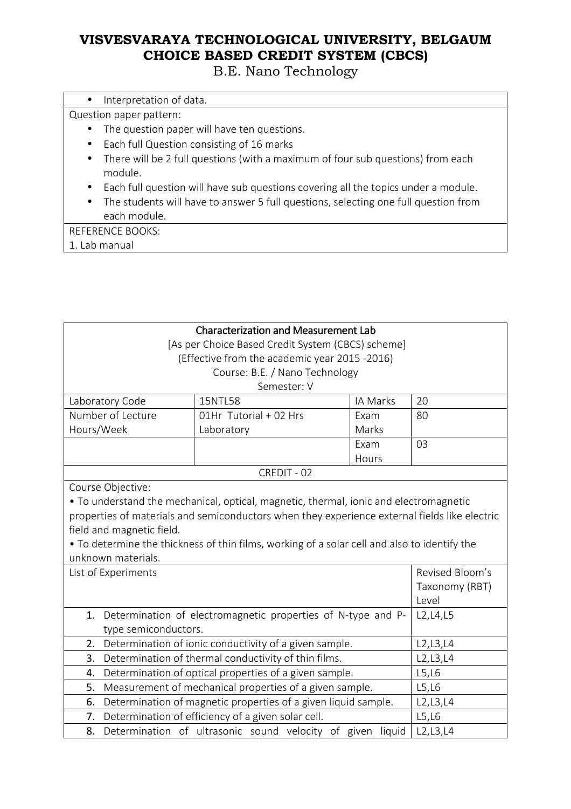B.E. Nano Technology

| Interpretation of data. |  |
|-------------------------|--|
|-------------------------|--|

Question paper pattern:

- The question paper will have ten questions.
- Each full Question consisting of 16 marks
- There will be 2 full questions (with a maximum of four sub questions) from each module.
- Each full question will have sub questions covering all the topics under a module.
- The students will have to answer 5 full questions, selecting one full question from each module.

REFERENCE BOOKS:

1. Lab manual

| <b>Characterization and Measurement Lab</b>                                                  |                                                                                               |            |                 |  |  |
|----------------------------------------------------------------------------------------------|-----------------------------------------------------------------------------------------------|------------|-----------------|--|--|
| [As per Choice Based Credit System (CBCS) scheme]                                            |                                                                                               |            |                 |  |  |
| (Effective from the academic year 2015 -2016)                                                |                                                                                               |            |                 |  |  |
|                                                                                              | Course: B.E. / Nano Technology                                                                |            |                 |  |  |
| Semester: V                                                                                  |                                                                                               |            |                 |  |  |
| Laboratory Code                                                                              | 15NTL58                                                                                       | IA Marks   | 20              |  |  |
| Number of Lecture                                                                            | 01Hr Tutorial + 02 Hrs                                                                        | Exam       | 80              |  |  |
| Hours/Week                                                                                   | Laboratory                                                                                    | Marks      |                 |  |  |
|                                                                                              |                                                                                               | Exam       | 03              |  |  |
|                                                                                              |                                                                                               | Hours      |                 |  |  |
|                                                                                              | CREDIT - 02                                                                                   |            |                 |  |  |
| Course Objective:                                                                            |                                                                                               |            |                 |  |  |
|                                                                                              | • To understand the mechanical, optical, magnetic, thermal, ionic and electromagnetic         |            |                 |  |  |
|                                                                                              | properties of materials and semiconductors when they experience external fields like electric |            |                 |  |  |
| field and magnetic field.                                                                    |                                                                                               |            |                 |  |  |
| . To determine the thickness of thin films, working of a solar cell and also to identify the |                                                                                               |            |                 |  |  |
| unknown materials.                                                                           |                                                                                               |            |                 |  |  |
| List of Experiments                                                                          |                                                                                               |            | Revised Bloom's |  |  |
|                                                                                              |                                                                                               |            | Taxonomy (RBT)  |  |  |
|                                                                                              |                                                                                               |            | Level           |  |  |
| 1.                                                                                           | Determination of electromagnetic properties of N-type and P-                                  |            | L2, L4, L5      |  |  |
| type semiconductors.                                                                         |                                                                                               |            |                 |  |  |
| Determination of ionic conductivity of a given sample.<br>2.                                 |                                                                                               | L2, L3, L4 |                 |  |  |
| 3.                                                                                           | Determination of thermal conductivity of thin films.                                          |            | L2, L3, L4      |  |  |
| Determination of optical properties of a given sample.<br>4.                                 |                                                                                               | L5,L6      |                 |  |  |
| Measurement of mechanical properties of a given sample.<br>5.                                |                                                                                               | L5,L6      |                 |  |  |
| Determination of magnetic properties of a given liquid sample.<br>6.                         |                                                                                               | L2,L3,L4   |                 |  |  |
| Determination of efficiency of a given solar cell.<br>7.                                     |                                                                                               | L5,L6      |                 |  |  |
| 8.                                                                                           | Determination of ultrasonic sound velocity of given liquid                                    |            | L2,L3,L4        |  |  |